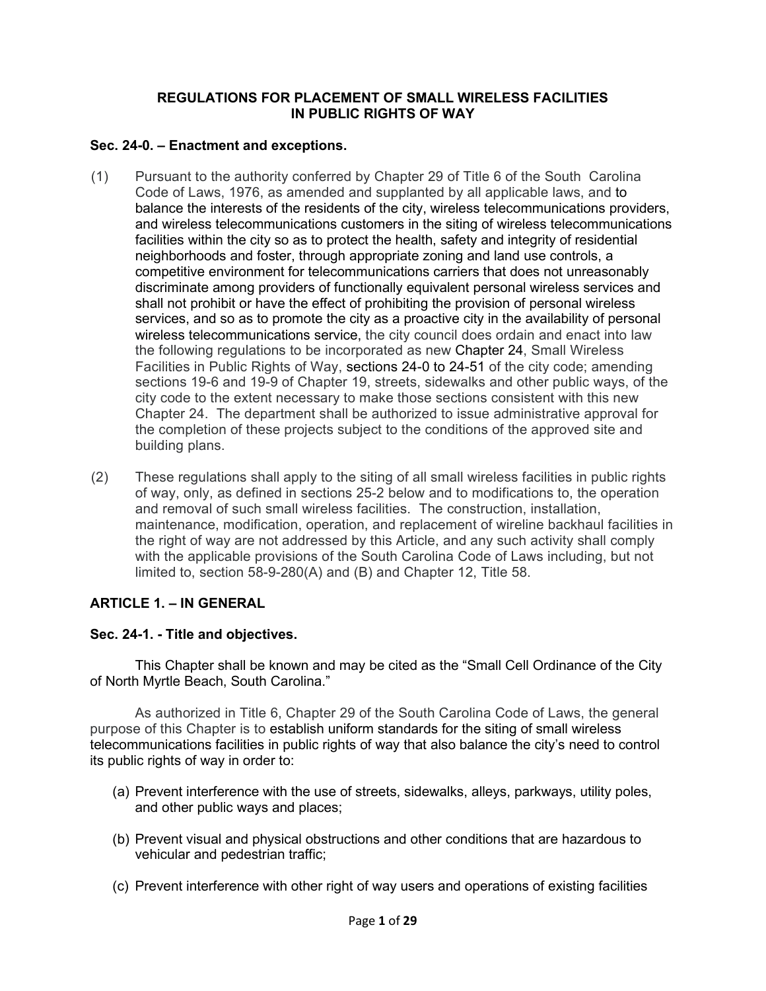### **REGULATIONS FOR PLACEMENT OF SMALL WIRELESS FACILITIES IN PUBLIC RIGHTS OF WAY**

## **Sec. 24-0. – Enactment and exceptions.**

- (1) Pursuant to the authority conferred by Chapter 29 of Title 6 of the South Carolina Code of Laws, 1976, as amended and supplanted by all applicable laws, and to balance the interests of the residents of the city, wireless telecommunications providers, and wireless telecommunications customers in the siting of wireless telecommunications facilities within the city so as to protect the health, safety and integrity of residential neighborhoods and foster, through appropriate zoning and land use controls, a competitive environment for telecommunications carriers that does not unreasonably discriminate among providers of functionally equivalent personal wireless services and shall not prohibit or have the effect of prohibiting the provision of personal wireless services, and so as to promote the city as a proactive city in the availability of personal wireless telecommunications service, the city council does ordain and enact into law the following regulations to be incorporated as new Chapter 24, Small Wireless Facilities in Public Rights of Way, sections [24-0](https://library.municode.com/sc/north_myrtle_beach/codes/code_of_ordinances?nodeId=COOR_CH23ZO_S23-0ENEX) to [24-5](https://library.municode.com/sc/north_myrtle_beach/codes/code_of_ordinances?nodeId=COOR_CH23ZO_ARTXBOZOAP_S23-162APDEBOZOAP)1 of the city code; amending sections 19-6 and 19-9 of Chapter 19, streets, sidewalks and other public ways, of the city code to the extent necessary to make those sections consistent with this new Chapter 24. The department shall be authorized to issue administrative approval for the completion of these projects subject to the conditions of the approved site and building plans.
- (2) These regulations shall apply to the siting of all small wireless facilities in public rights of way, only, as defined in sections 25-2 below and to modifications to, the operation and removal of such small wireless facilities. The construction, installation, maintenance, modification, operation, and replacement of wireline backhaul facilities in the right of way are not addressed by this Article, and any such activity shall comply with the applicable provisions of the South Carolina Code of Laws including, but not limited to, section 58-9-280(A) and (B) and Chapter 12, Title 58.

# **ARTICLE 1. – IN GENERAL**

# **Sec. 24-1. - Title and objectives.**

This Chapter shall be known and may be cited as the "Small Cell Ordinance of the City of North Myrtle Beach, South Carolina."

As authorized in Title 6, Chapter 29 of the South Carolina Code of Laws, the general purpose of this Chapter is to establish uniform standards for the siting of small wireless telecommunications facilities in public rights of way that also balance the city's need to control its public rights of way in order to:

- (a) Prevent interference with the use of streets, sidewalks, alleys, parkways, utility poles, and other public ways and places;
- (b) Prevent visual and physical obstructions and other conditions that are hazardous to vehicular and pedestrian traffic;
- (c) Prevent interference with other right of way users and operations of existing facilities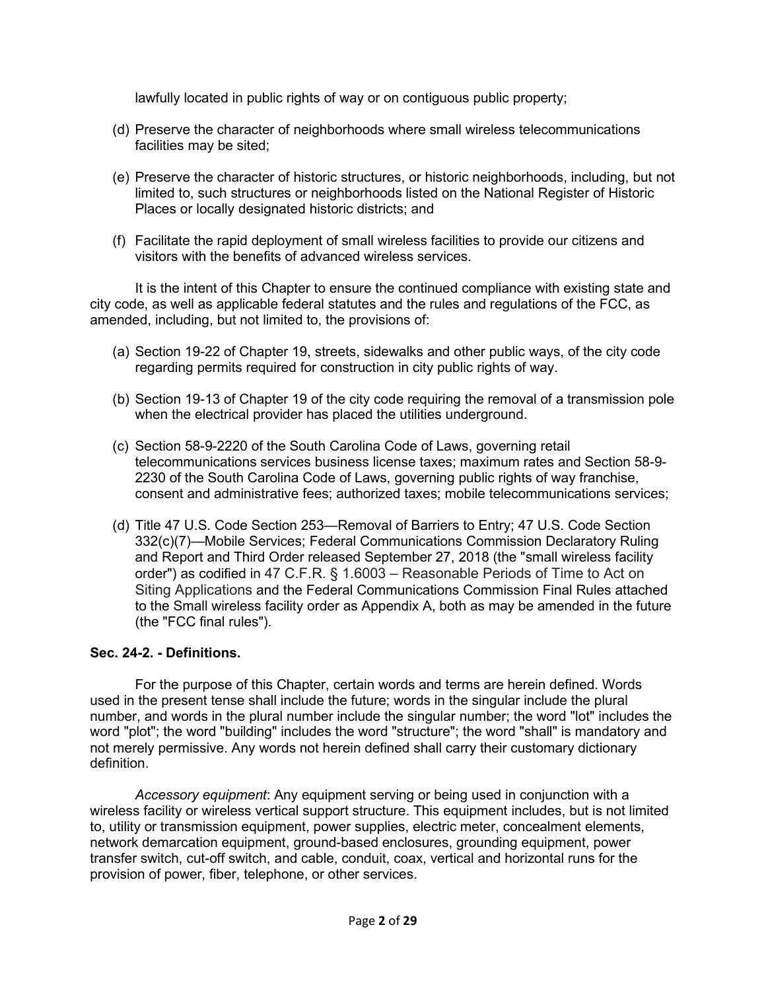lawfully located in public rights of way or on contiguous public property;

- (d) Preserve the character of neighborhoods where small wireless telecommunications facilities may be sited;
- (e) Preserve the character of historic structures, or historic neighborhoods, including, but not limited to, such structures or neighborhoods listed on the National Register of Historic Places or locally designated historic districts; and
- (f) Facilitate the rapid deployment of small wireless facilities to provide our citizens and visitors with the benefits of advanced wireless services.

It is the intent of this Chapter to ensure the continued compliance with existing state and city code, as well as applicable federal statutes and the rules and regulations of the FCC, as amended, including, but not limited to, the provisions of:

- (a) Section 19-22 of Chapter 19, streets, sidewalks and other public ways, of the city code regarding permits required for construction in city public rights of way.
- (b) Section 19-13 of Chapter 19 of the city code requiring the removal of a transmission pole when the electrical provider has placed the utilities underground.
- (c) Section 58-9-2220 of the South Carolina Code of Laws, governing retail telecommunications services business license taxes; maximum rates and Section 58-9- 2230 of the South Carolina Code of Laws, governing public rights of way franchise, consent and administrative fees; authorized taxes; mobile telecommunications services;
- (d) Title 47 U.S. Code Section 253—Removal of Barriers to Entry; 47 U.S. Code Section 332(c)(7)—Mobile Services; Federal Communications Commission Declaratory Ruling and Report and Third Order released September 27, 2018 (the "small wireless facility order") as codified in 47 C.F.R. § 1.6003 – Reasonable Periods of Time to Act on Siting Applications and the Federal Communications Commission Final Rules attached to the Small wireless facility order as Appendix A, both as may be amended in the future (the "FCC final rules").

# **Sec. 24-2. - Definitions.**

For the purpose of this Chapter, certain words and terms are herein defined. Words used in the present tense shall include the future; words in the singular include the plural number, and words in the plural number include the singular number; the word "lot" includes the word "plot"; the word "building" includes the word "structure"; the word "shall" is mandatory and not merely permissive. Any words not herein defined shall carry their customary dictionary definition.

*Accessory equipment*: Any equipment serving or being used in conjunction with a wireless facility or wireless vertical support structure. This equipment includes, but is not limited to, utility or transmission equipment, power supplies, electric meter, concealment elements, network demarcation equipment, ground-based enclosures, grounding equipment, power transfer switch, cut-off switch, and cable, conduit, coax, vertical and horizontal runs for the provision of power, fiber, telephone, or other services.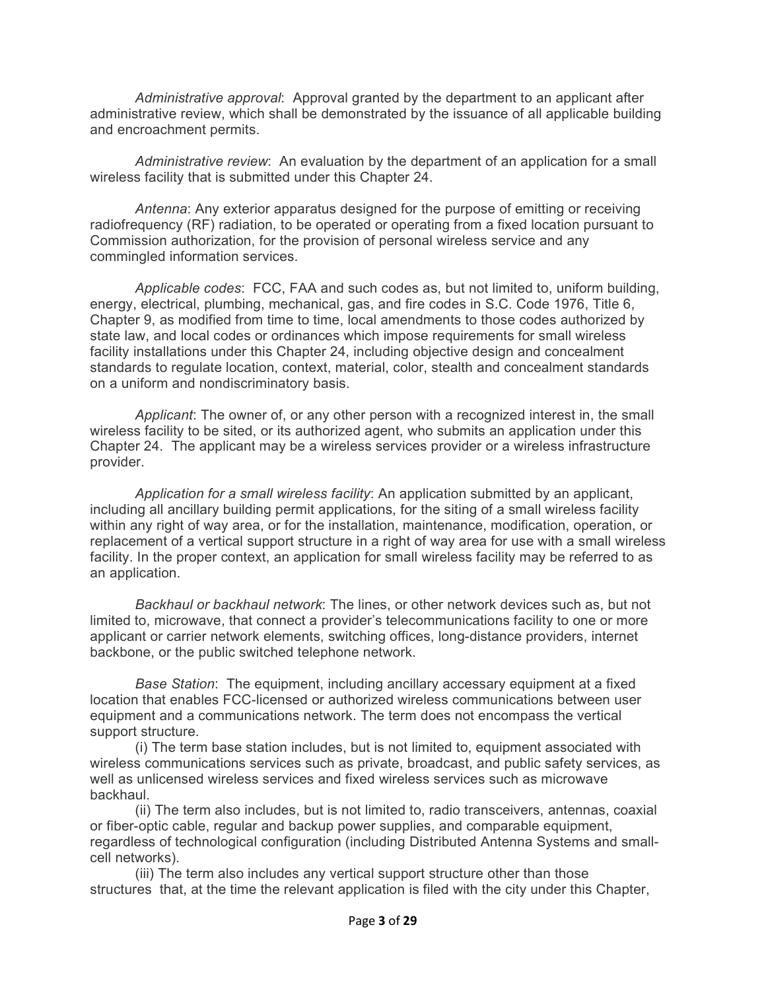*Administrative approval*: Approval granted by the department to an applicant after administrative review, which shall be demonstrated by the issuance of all applicable building and encroachment permits.

*Administrative review*: An evaluation by the department of an application for a small wireless facility that is submitted under this Chapter 24.

*Antenna*: Any exterior apparatus designed for the purpose of emitting or receiving radiofrequency (RF) radiation, to be operated or operating from a fixed location pursuant to Commission authorization, for the provision of personal wireless service and any commingled information services.

*Applicable codes*: FCC, FAA and such codes as, but not limited to, uniform building, energy, electrical, plumbing, mechanical, gas, and fire codes in S.C. Code 1976, Title 6, Chapter 9, as modified from time to time, local amendments to those codes authorized by state law, and local codes or ordinances which impose requirements for small wireless facility installations under this Chapter 24, including objective design and concealment standards to regulate location, context, material, color, stealth and concealment standards on a uniform and nondiscriminatory basis.

*Applicant*: The owner of, or any other person with a recognized interest in, the small wireless facility to be sited, or its authorized agent, who submits an application under this Chapter 24. The applicant may be a wireless services provider or a wireless infrastructure provider.

*Application for a small wireless facility*: An application submitted by an applicant, including all ancillary building permit applications, for the siting of a small wireless facility within any right of way area, or for the installation, maintenance, modification, operation, or replacement of a vertical support structure in a right of way area for use with a small wireless facility. In the proper context, an application for small wireless facility may be referred to as an application.

*Backhaul or backhaul network*: The lines, or other network devices such as, but not limited to, microwave, that connect a provider's telecommunications facility to one or more applicant or carrier network elements, switching offices, long-distance providers, internet backbone, or the public switched telephone network.

*Base Station*: The equipment, including ancillary accessary equipment at a fixed location that enables FCC-licensed or authorized wireless communications between user equipment and a communications network. The term does not encompass the vertical support structure.

(i) The term base station includes, but is not limited to, equipment associated with wireless communications services such as private, broadcast, and public safety services, as well as unlicensed wireless services and fixed wireless services such as microwave backhaul.

(ii) The term also includes, but is not limited to, radio transceivers, [antennas,](https://www.law.cornell.edu/definitions/index.php?width=840&height=800&iframe=true&def_id=0e1e647b167ec1965dd983a552d2aeda&term_occur=999&term_src=Title:47:Chapter:I:Subchapter:A:Part:1:Subpart:U:1.6100) coaxial or fiber-optic cable, regular and backup power supplies, and comparable equipment, regardless of technological configuration (including Distributed [Antenna](https://www.law.cornell.edu/definitions/index.php?width=840&height=800&iframe=true&def_id=0e1e647b167ec1965dd983a552d2aeda&term_occur=999&term_src=Title:47:Chapter:I:Subchapter:A:Part:1:Subpart:U:1.6100) Systems and smallcell networks).

(iii) The term also includes any [vertical support structure](https://www.law.cornell.edu/definitions/index.php?width=840&height=800&iframe=true&def_id=ad36c6de93fc30b3811dae74d3a9f231&term_occur=999&term_src=Title:47:Chapter:I:Subchapter:A:Part:1:Subpart:U:1.6100) other than [those](https://www.law.cornell.edu/definitions/index.php?width=840&height=800&iframe=true&def_id=cc7479d3dfc02534b81fd5fb915e03c5&term_occur=999&term_src=Title:47:Chapter:I:Subchapter:A:Part:1:Subpart:U:1.6100)  [structures](https://www.law.cornell.edu/definitions/index.php?width=840&height=800&iframe=true&def_id=cc7479d3dfc02534b81fd5fb915e03c5&term_occur=999&term_src=Title:47:Chapter:I:Subchapter:A:Part:1:Subpart:U:1.6100) that, at the time the relevant [application](https://www.law.cornell.edu/definitions/index.php?width=840&height=800&iframe=true&def_id=c19d642fdc81779b4769c0ef2ecb86f6&term_occur=999&term_src=Title:47:Chapter:I:Subchapter:A:Part:1:Subpart:U:1.6100) is filed with the city under this Chapter,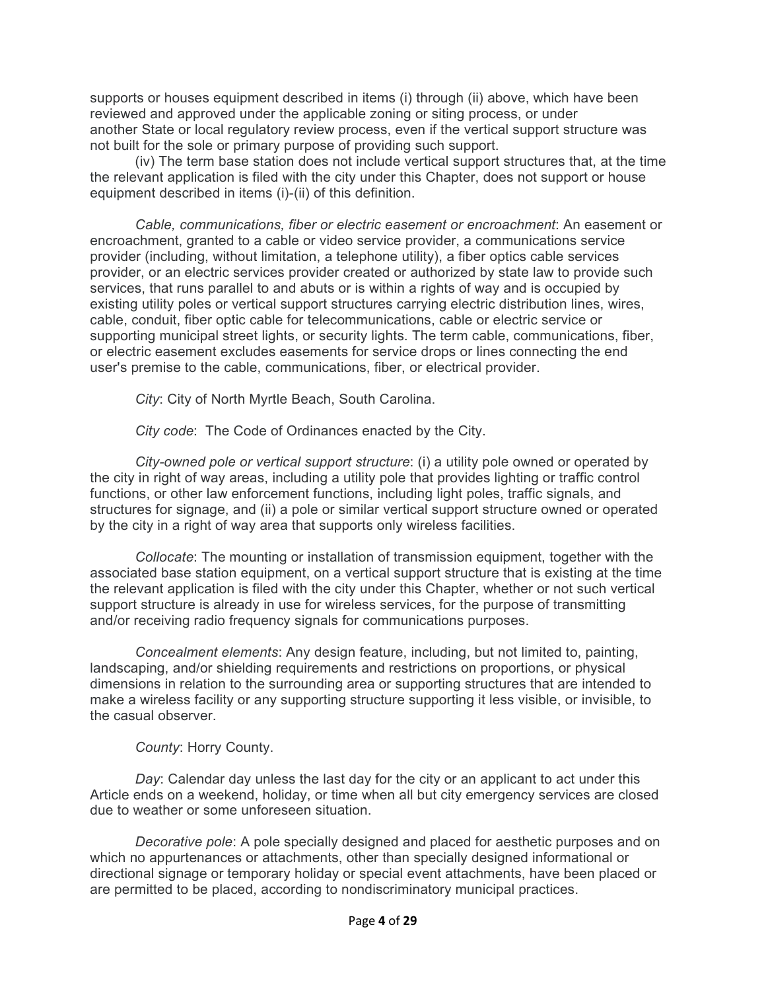supports or houses equipment described in items (i) through (ii) above, which have been reviewed and approved under the applicable zoning or siting process, or under another [State](https://www.law.cornell.edu/definitions/index.php?width=840&height=800&iframe=true&def_id=e8082d3c63609512a918f3ab77bd41dc&term_occur=999&term_src=Title:47:Chapter:I:Subchapter:A:Part:1:Subpart:U:1.6100) or local regulatory review process, even if the [vertical support structure](https://www.law.cornell.edu/definitions/index.php?width=840&height=800&iframe=true&def_id=ad36c6de93fc30b3811dae74d3a9f231&term_occur=999&term_src=Title:47:Chapter:I:Subchapter:A:Part:1:Subpart:U:1.6100) was not built for the sole or primary purpose of providing such support.

(iv) The term base station does not include [vertical support structures](https://www.law.cornell.edu/definitions/index.php?width=840&height=800&iframe=true&def_id=ad36c6de93fc30b3811dae74d3a9f231&term_occur=999&term_src=Title:47:Chapter:I:Subchapter:A:Part:1:Subpart:U:1.6100) that, at the time the relevant application is filed with the city under this Chapter, does not support or house equipment described in items (i)-(ii) of this definition.

*Cable, communications, fiber or electric easement or encroachment*: An easement or encroachment, granted to a cable or video service provider, a communications service provider (including, without limitation, a telephone utility), a fiber optics cable services provider, or an electric services provider created or authorized by state law to provide such services, that runs parallel to and abuts or is within a rights of way and is occupied by existing utility poles or vertical support structures carrying electric distribution lines, wires, cable, conduit, fiber optic cable for telecommunications, cable or electric service or supporting municipal street lights, or security lights. The term cable, communications, fiber, or electric easement excludes easements for service drops or lines connecting the end user's premise to the cable, communications, fiber, or electrical provider.

*City*: City of North Myrtle Beach, South Carolina.

*City code*: The Code of Ordinances enacted by the City.

*City-owned pole or vertical support structure*: (i) a utility pole owned or operated by the city in right of way areas, including a utility pole that provides lighting or traffic control functions, or other law enforcement functions, including light poles, traffic signals, and structures for signage, and (ii) a pole or similar vertical support structure owned or operated by the city in a right of way area that supports only wireless facilities.

*Collocate*: The mounting or installation of transmission equipment, together with the associated base station equipment, on a vertical support structure that is existing at the time the relevant application is filed with the city under this Chapter, whether or not such vertical support structure is already in use for wireless services, for the purpose of transmitting and/or receiving radio frequency signals for communications purposes.

*Concealment elements*: Any design feature, including, but not limited to, painting, landscaping, and/or shielding requirements and restrictions on proportions, or physical dimensions in relation to the surrounding area or supporting structures that are intended to make a wireless facility or any supporting structure supporting it less visible, or invisible, to the casual observer.

*County*: Horry County.

*Day*: Calendar day unless the last day for the city or an applicant to act under this Article ends on a weekend, holiday, or time when all but city emergency services are closed due to weather or some unforeseen situation.

*Decorative pole*: A pole specially designed and placed for aesthetic purposes and on which no appurtenances or attachments, other than specially designed informational or directional signage or temporary holiday or special event attachments, have been placed or are permitted to be placed, according to nondiscriminatory municipal practices.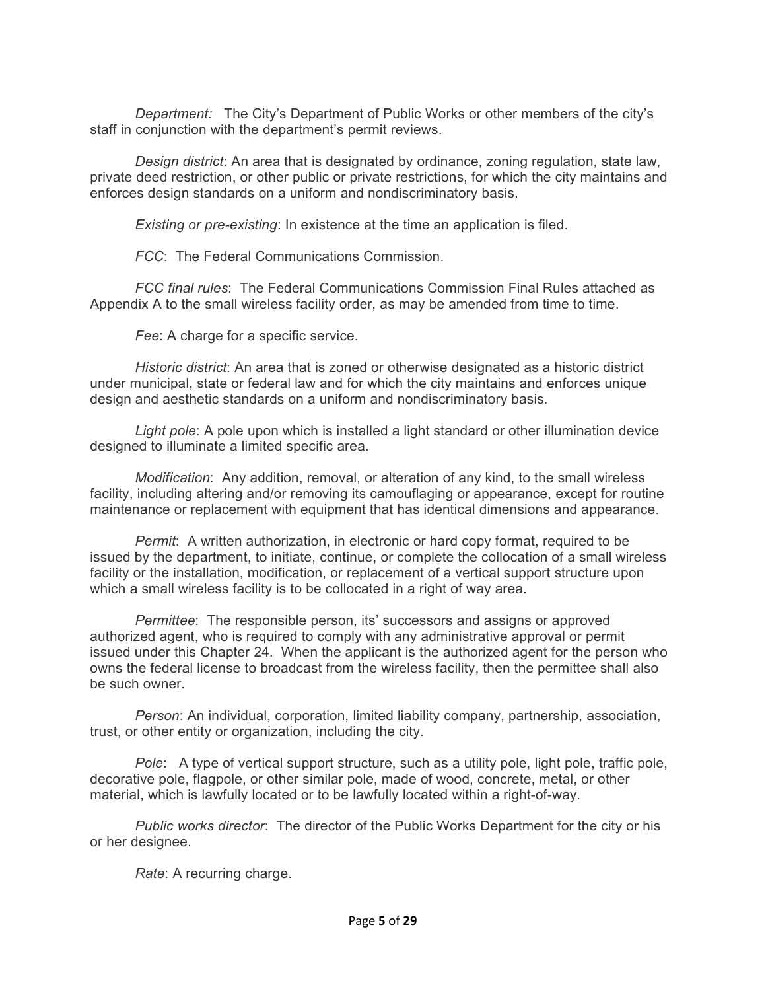*Department:* The City's Department of Public Works or other members of the city's staff in conjunction with the department's permit reviews.

*Design district*: An area that is designated by ordinance, zoning regulation, state law, private deed restriction, or other public or private restrictions, for which the city maintains and enforces design standards on a uniform and nondiscriminatory basis.

*Existing or pre-existing*: In existence at the time an application is filed.

*FCC*: The Federal Communications Commission.

*FCC final rules*: The Federal Communications Commission Final Rules attached as Appendix A to the small wireless facility order, as may be amended from time to time.

*Fee*: A charge for a specific service.

*Historic district*: An area that is zoned or otherwise designated as a historic district under municipal, state or federal law and for which the city maintains and enforces unique design and aesthetic standards on a uniform and nondiscriminatory basis.

*Light pole*: A pole upon which is installed a light standard or other illumination device designed to illuminate a limited specific area.

*Modification*: Any addition, removal, or alteration of any kind, to the small wireless facility, including altering and/or removing its camouflaging or appearance, except for routine maintenance or replacement with equipment that has identical dimensions and appearance.

*Permit*: A written authorization, in electronic or hard copy format, required to be issued by the department, to initiate, continue, or complete the collocation of a small wireless facility or the installation, modification, or replacement of a vertical support structure upon which a small wireless facility is to be collocated in a right of way area.

*Permittee*: The responsible person, its' successors and assigns or approved authorized agent, who is required to comply with any administrative approval or permit issued under this Chapter 24. When the applicant is the authorized agent for the person who owns the federal license to broadcast from the wireless facility, then the permittee shall also be such owner.

*Person*: An individual, corporation, limited liability company, partnership, association, trust, or other entity or organization, including the city.

*Pole*: A type of vertical support structure, such as a utility pole, light pole, traffic pole, decorative pole, flagpole, or other similar pole, made of wood, concrete, metal, or other material, which is lawfully located or to be lawfully located within a right-of-way.

*Public works director*: The director of the Public Works Department for the city or his or her designee.

*Rate*: A recurring charge.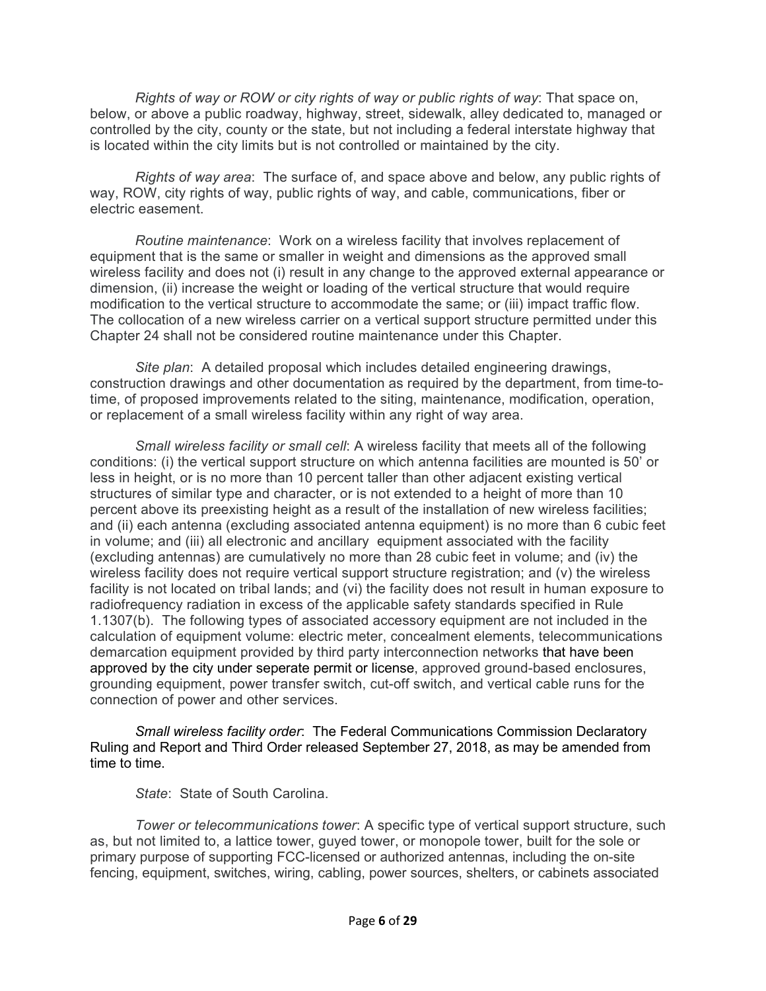*Rights of way or ROW or city rights of way or public rights of way*: That space on, below, or above a public roadway, highway, street, sidewalk, alley dedicated to, managed or controlled by the city, county or the state, but not including a federal interstate highway that is located within the city limits but is not controlled or maintained by the city.

*Rights of way area*: The surface of, and space above and below, any public rights of way, ROW, city rights of way, public rights of way, and cable, communications, fiber or electric easement.

*Routine maintenance*: Work on a wireless facility that involves replacement of equipment that is the same or smaller in weight and dimensions as the approved small wireless facility and does not (i) result in any change to the approved external appearance or dimension, (ii) increase the weight or loading of the vertical structure that would require modification to the vertical structure to accommodate the same; or (iii) impact traffic flow. The collocation of a new wireless carrier on a vertical support structure permitted under this Chapter 24 shall not be considered routine maintenance under this Chapter.

*Site plan*: A detailed proposal which includes detailed engineering drawings, construction drawings and other documentation as required by the department, from time-totime, of proposed improvements related to the siting, maintenance, modification, operation, or replacement of a small wireless facility within any right of way area.

*Small wireless facility or small cell*: A wireless facility that meets all of the following conditions: (i) the vertical support structure on which antenna facilities are mounted is 50' or less in height, or is no more than 10 percent taller than other adjacent existing vertical structures of similar type and character, or is not extended to a height of more than 10 percent above its preexisting height as a result of the installation of new wireless facilities; and (ii) each antenna (excluding associated antenna equipment) is no more than 6 cubic feet in volume; and (iii) all electronic and ancillary equipment associated with the facility (excluding antennas) are cumulatively no more than 28 cubic feet in volume; and (iv) the wireless facility does not require vertical support structure registration; and (v) the wireless facility is not located on tribal lands; and (vi) the facility does not result in human exposure to radiofrequency radiation in excess of the applicable safety standards specified in Rule 1.1307(b). The following types of associated accessory equipment are not included in the calculation of equipment volume: electric meter, concealment elements, telecommunications demarcation equipment provided by third party interconnection networks that have been approved by the city under seperate permit or license, approved ground-based enclosures, grounding equipment, power transfer switch, cut-off switch, and vertical cable runs for the connection of power and other services.

*Small wireless facility order*: The Federal Communications Commission Declaratory Ruling and Report and Third Order released September 27, 2018, as may be amended from time to time.

*State*: State of South Carolina.

*Tower or telecommunications tower*: A specific type of vertical support structure, such as, but not limited to, a lattice tower, guyed tower, or monopole tower, built for the sole or primary purpose of supporting FCC-licensed or authorized antennas, including the on-site fencing, equipment, switches, wiring, cabling, power sources, shelters, or cabinets associated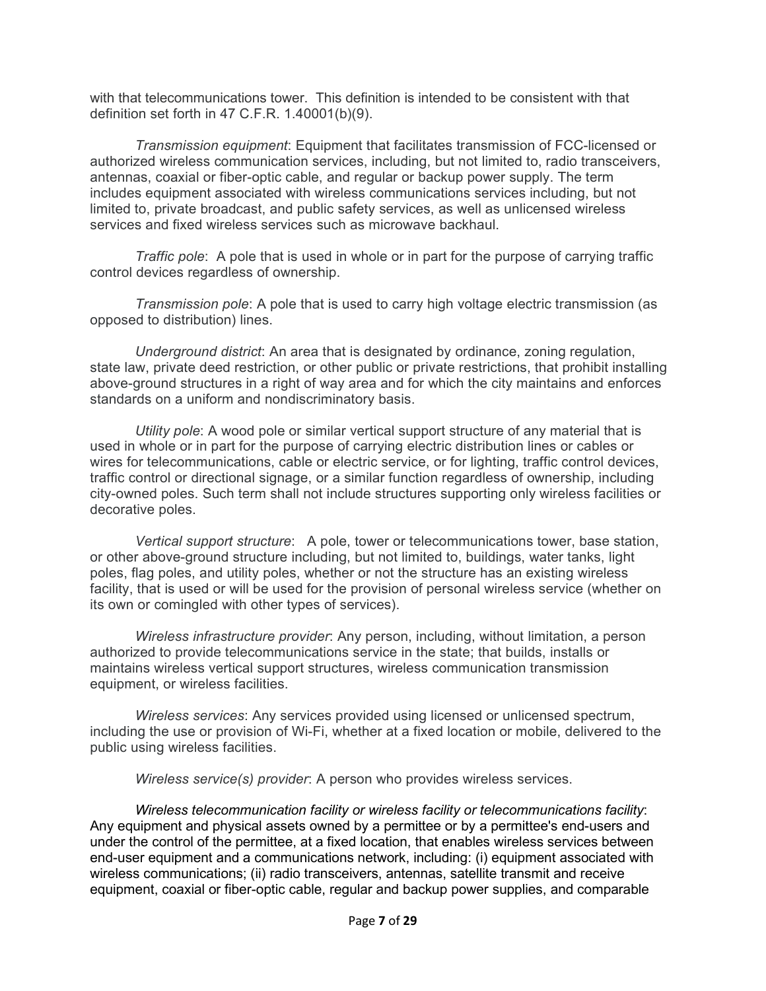with that telecommunications tower. This definition is intended to be consistent with that definition set forth in 47 C.F.R. 1.40001(b)(9).

*Transmission equipment*: Equipment that facilitates transmission of FCC-licensed or authorized wireless communication services, including, but not limited to, radio transceivers, antennas, coaxial or fiber-optic cable, and regular or backup power supply. The term includes equipment associated with wireless communications services including, but not limited to, private broadcast, and public safety services, as well as unlicensed wireless services and fixed wireless services such as microwave backhaul.

*Traffic pole*: A pole that is used in whole or in part for the purpose of carrying traffic control devices regardless of ownership.

*Transmission pole*: A pole that is used to carry high voltage electric transmission (as opposed to distribution) lines.

*Underground district*: An area that is designated by ordinance, zoning regulation, state law, private deed restriction, or other public or private restrictions, that prohibit installing above-ground structures in a right of way area and for which the city maintains and enforces standards on a uniform and nondiscriminatory basis.

*Utility pole*: A wood pole or similar vertical support structure of any material that is used in whole or in part for the purpose of carrying electric distribution lines or cables or wires for telecommunications, cable or electric service, or for lighting, traffic control devices, traffic control or directional signage, or a similar function regardless of ownership, including city-owned poles. Such term shall not include structures supporting only wireless facilities or decorative poles.

*Vertical support structure*: A pole, tower or telecommunications tower, base station, or other above-ground structure including, but not limited to, buildings, water tanks, light poles, flag poles, and utility poles, whether or not the structure has an existing wireless facility, that is used or will be used for the provision of personal wireless service (whether on its own or comingled with other types of services).

*Wireless infrastructure provider*: Any person, including, without limitation, a person authorized to provide telecommunications service in the state; that builds, installs or maintains wireless vertical support structures, wireless communication transmission equipment, or wireless facilities.

*Wireless services*: Any services provided using licensed or unlicensed spectrum, including the use or provision of Wi-Fi, whether at a fixed location or mobile, delivered to the public using wireless facilities.

*Wireless service(s) provider*: A person who provides wireless services.

*Wireless telecommunication facility or wireless facility or telecommunications facility*: Any equipment and physical assets owned by a permittee or by a permittee's end-users and under the control of the permittee, at a fixed location, that enables wireless services between end-user equipment and a communications network, including: (i) equipment associated with wireless communications; (ii) radio transceivers, antennas, satellite transmit and receive equipment, coaxial or fiber-optic cable, regular and backup power supplies, and comparable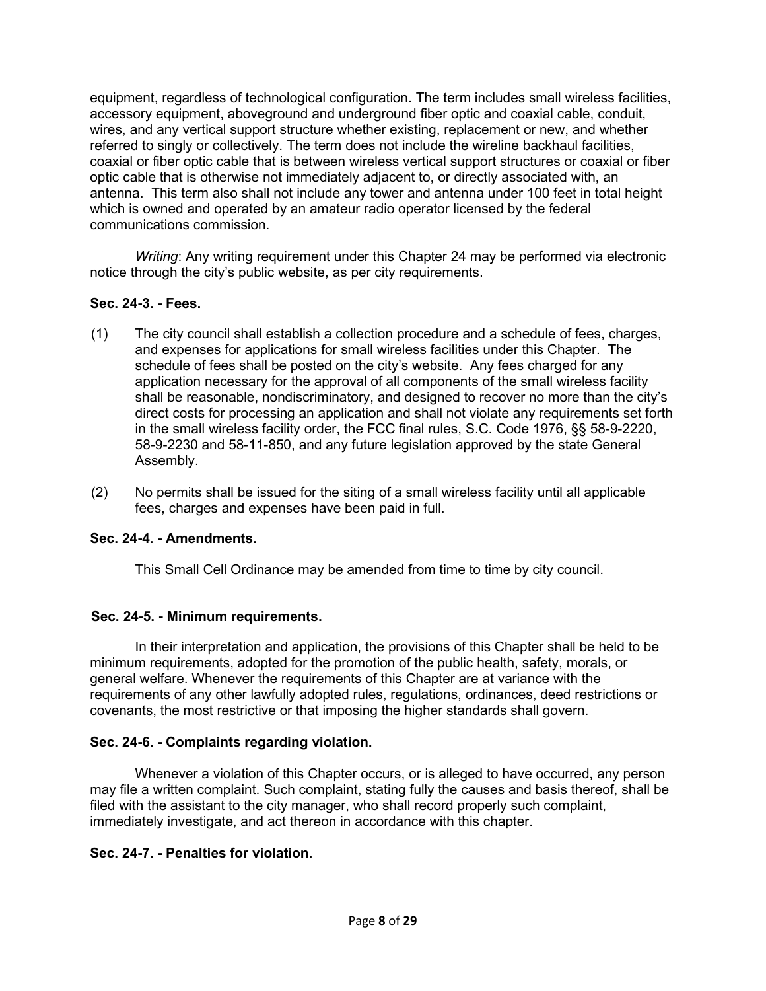equipment, regardless of technological configuration. The term includes small wireless facilities, accessory equipment, aboveground and underground fiber optic and coaxial cable, conduit, wires, and any vertical support structure whether existing, replacement or new, and whether referred to singly or collectively. The term does not include the wireline backhaul facilities, coaxial or fiber optic cable that is between wireless vertical support structures or coaxial or fiber optic cable that is otherwise not immediately adjacent to, or directly associated with, an antenna. This term also shall not include any tower and antenna under 100 feet in total height which is owned and operated by an amateur radio operator licensed by the federal communications commission.

*Writing*: Any writing requirement under this Chapter 24 may be performed via electronic notice through the city's public website, as per city requirements.

### **Sec. 24-3. - Fees.**

- (1) The city council shall establish a collection procedure and a schedule of fees, charges, and expenses for applications for small wireless facilities under this Chapter. The schedule of fees shall be posted on the city's website. Any fees charged for any application necessary for the approval of all components of the small wireless facility shall be reasonable, nondiscriminatory, and designed to recover no more than the city's direct costs for processing an application and shall not violate any requirements set forth in the small wireless facility order, the FCC final rules, S.C. Code 1976, §§ 58-9-2220, 58-9-2230 and 58-11-850, and any future legislation approved by the state General Assembly.
- (2) No permits shall be issued for the siting of a small wireless facility until all applicable fees, charges and expenses have been paid in full.

### **Sec. 24-4. - Amendments.**

This Small Cell Ordinance may be amended from time to time by city council.

### **Sec. 24-5. - Minimum requirements.**

In their interpretation and application, the provisions of this Chapter shall be held to be minimum requirements, adopted for the promotion of the public health, safety, morals, or general welfare. Whenever the requirements of this Chapter are at variance with the requirements of any other lawfully adopted rules, regulations, ordinances, deed restrictions or covenants, the most restrictive or that imposing the higher standards shall govern.

### **Sec. 24-6. - Complaints regarding violation.**

Whenever a violation of this Chapter occurs, or is alleged to have occurred, any person may file a written complaint. Such complaint, stating fully the causes and basis thereof, shall be filed with the assistant to the city manager, who shall record properly such complaint, immediately investigate, and act thereon in accordance with this chapter.

### **Sec. 24-7. - Penalties for violation.**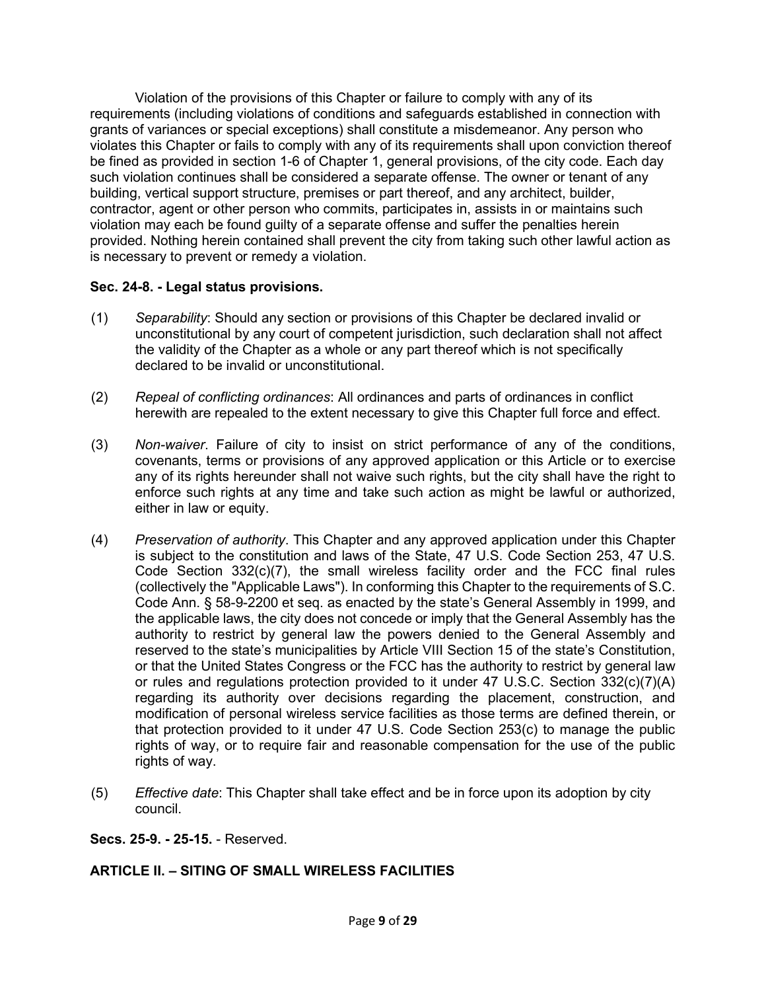Violation of the provisions of this Chapter or failure to comply with any of its requirements (including violations of conditions and safeguards established in connection with grants of variances or special exceptions) shall constitute a misdemeanor. Any person who violates this Chapter or fails to comply with any of its requirements shall upon conviction thereof be fined as provided in [section 1-6](https://library.municode.com/sc/north_myrtle_beach/codes/code_of_ordinances?nodeId=COOR_CH1GEPR_S1-6GEPE) of Chapter 1, general provisions, of the city code. Each day such violation continues shall be considered a separate offense. The owner or tenant of any building, vertical support structure, premises or part thereof, and any architect, builder, contractor, agent or other person who commits, participates in, assists in or maintains such violation may each be found guilty of a separate offense and suffer the penalties herein provided. Nothing herein contained shall prevent the city from taking such other lawful action as is necessary to prevent or remedy a violation.

### **Sec. 24-8. - Legal status provisions.**

- (1) *Separability*: Should any section or provisions of this Chapter be declared invalid or unconstitutional by any court of competent jurisdiction, such declaration shall not affect the validity of the Chapter as a whole or any part thereof which is not specifically declared to be invalid or unconstitutional.
- (2) *Repeal of conflicting ordinances*: All ordinances and parts of ordinances in conflict herewith are repealed to the extent necessary to give this Chapter full force and effect.
- (3) *Non-waiver*. Failure of city to insist on strict performance of any of the conditions, covenants, terms or provisions of any approved application or this Article or to exercise any of its rights hereunder shall not waive such rights, but the city shall have the right to enforce such rights at any time and take such action as might be lawful or authorized, either in law or equity.
- (4) *Preservation of authority*. This Chapter and any approved application under this Chapter is subject to the constitution and laws of the State, 47 U.S. Code Section 253, 47 U.S. Code Section 332(c)(7), the small wireless facility order and the FCC final rules (collectively the "Applicable Laws"). In conforming this Chapter to the requirements of S.C. Code Ann. § 58-9-2200 et seq. as enacted by the state's General Assembly in 1999, and the applicable laws, the city does not concede or imply that the General Assembly has the authority to restrict by general law the powers denied to the General Assembly and reserved to the state's municipalities by Article VIII Section 15 of the state's Constitution, or that the United States Congress or the FCC has the authority to restrict by general law or rules and regulations protection provided to it under 47 U.S.C. Section 332(c)(7)(A) regarding its authority over decisions regarding the placement, construction, and modification of personal wireless service facilities as those terms are defined therein, or that protection provided to it under 47 U.S. Code Section 253(c) to manage the public rights of way, or to require fair and reasonable compensation for the use of the public rights of way.
- (5) *Effective date*: This Chapter shall take effect and be in force upon its adoption by city council.

### **Secs. 25-9. - 25-15.** - Reserved.

# **ARTICLE II. – SITING OF SMALL WIRELESS FACILITIES**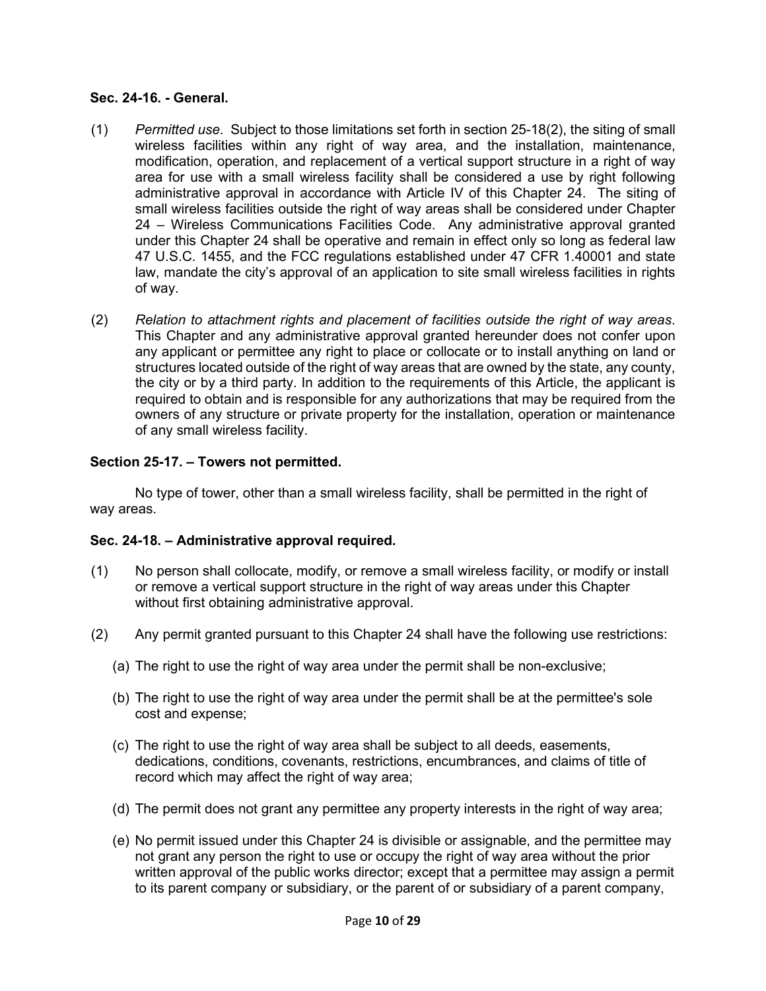#### **Sec. 24-16. - General.**

- (1) *Permitted use*. Subject to those limitations set forth in section 25-18(2), the siting of small wireless facilities within any right of way area, and the installation, maintenance, modification, operation, and replacement of a vertical support structure in a right of way area for use with a small wireless facility shall be considered a use by right following administrative approval in accordance with Article IV of this Chapter 24. The siting of small wireless facilities outside the right of way areas shall be considered under Chapter 24 – Wireless Communications Facilities Code. Any administrative approval granted under this Chapter 24 shall be operative and remain in effect only so long as federal law 47 U.S.C. 1455, and the FCC regulations established under 47 CFR 1.40001 and state law, mandate the city's approval of an application to site small wireless facilities in rights of way.
- (2) *Relation to attachment rights and placement of facilities outside the right of way areas*. This Chapter and any administrative approval granted hereunder does not confer upon any applicant or permittee any right to place or collocate or to install anything on land or structures located outside of the right of way areas that are owned by the state, any county, the city or by a third party. In addition to the requirements of this Article, the applicant is required to obtain and is responsible for any authorizations that may be required from the owners of any structure or private property for the installation, operation or maintenance of any small wireless facility.

## **Section 25-17. – Towers not permitted.**

No type of tower, other than a small wireless facility, shall be permitted in the right of way areas.

### **Sec. 24-18. – Administrative approval required.**

- (1) No person shall collocate, modify, or remove a small wireless facility, or modify or install or remove a vertical support structure in the right of way areas under this Chapter without first obtaining administrative approval.
- (2) Any permit granted pursuant to this Chapter 24 shall have the following use restrictions:
	- (a) The right to use the right of way area under the permit shall be non-exclusive;
	- (b) The right to use the right of way area under the permit shall be at the permittee's sole cost and expense;
	- (c) The right to use the right of way area shall be subject to all deeds, easements, dedications, conditions, covenants, restrictions, encumbrances, and claims of title of record which may affect the right of way area;
	- (d) The permit does not grant any permittee any property interests in the right of way area;
	- (e) No permit issued under this Chapter 24 is divisible or assignable, and the permittee may not grant any person the right to use or occupy the right of way area without the prior written approval of the public works director; except that a permittee may assign a permit to its parent company or subsidiary, or the parent of or subsidiary of a parent company,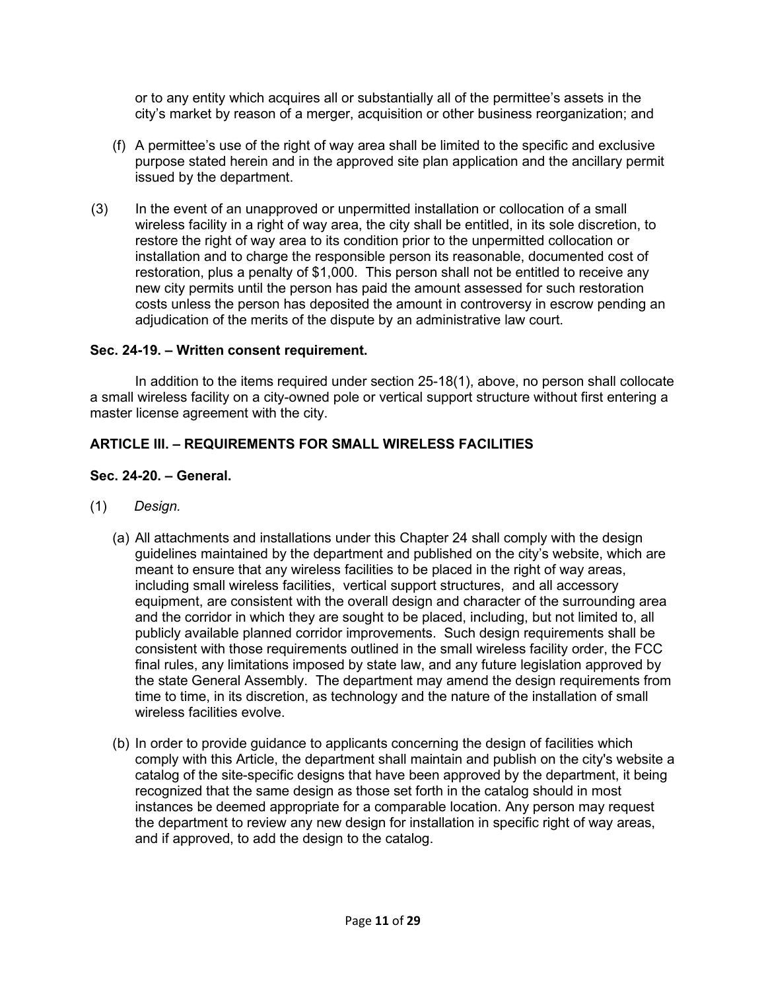or to any entity which acquires all or substantially all of the permittee's assets in the city's market by reason of a merger, acquisition or other business reorganization; and

- (f) A permittee's use of the right of way area shall be limited to the specific and exclusive purpose stated herein and in the approved site plan application and the ancillary permit issued by the department.
- (3) In the event of an unapproved or unpermitted installation or collocation of a small wireless facility in a right of way area, the city shall be entitled, in its sole discretion, to restore the right of way area to its condition prior to the unpermitted collocation or installation and to charge the responsible person its reasonable, documented cost of restoration, plus a penalty of \$1,000. This person shall not be entitled to receive any new city permits until the person has paid the amount assessed for such restoration costs unless the person has deposited the amount in controversy in escrow pending an adjudication of the merits of the dispute by an administrative law court.

### **Sec. 24-19. – Written consent requirement.**

In addition to the items required under section 25-18(1), above, no person shall collocate a small wireless facility on a city-owned pole or vertical support structure without first entering a master license agreement with the city.

## **ARTICLE III. – REQUIREMENTS FOR SMALL WIRELESS FACILITIES**

### **Sec. 24-20. – General.**

- (1) *Design.* 
	- (a) All attachments and installations under this Chapter 24 shall comply with the design guidelines maintained by the department and published on the city's website, which are meant to ensure that any wireless facilities to be placed in the right of way areas, including small wireless facilities, vertical support structures, and all accessory equipment, are consistent with the overall design and character of the surrounding area and the corridor in which they are sought to be placed, including, but not limited to, all publicly available planned corridor improvements. Such design requirements shall be consistent with those requirements outlined in the small wireless facility order, the FCC final rules, any limitations imposed by state law, and any future legislation approved by the state General Assembly. The department may amend the design requirements from time to time, in its discretion, as technology and the nature of the installation of small wireless facilities evolve.
	- (b) In order to provide guidance to applicants concerning the design of facilities which comply with this Article, the department shall maintain and publish on the city's website a catalog of the site-specific designs that have been approved by the department, it being recognized that the same design as those set forth in the catalog should in most instances be deemed appropriate for a comparable location. Any person may request the department to review any new design for installation in specific right of way areas, and if approved, to add the design to the catalog.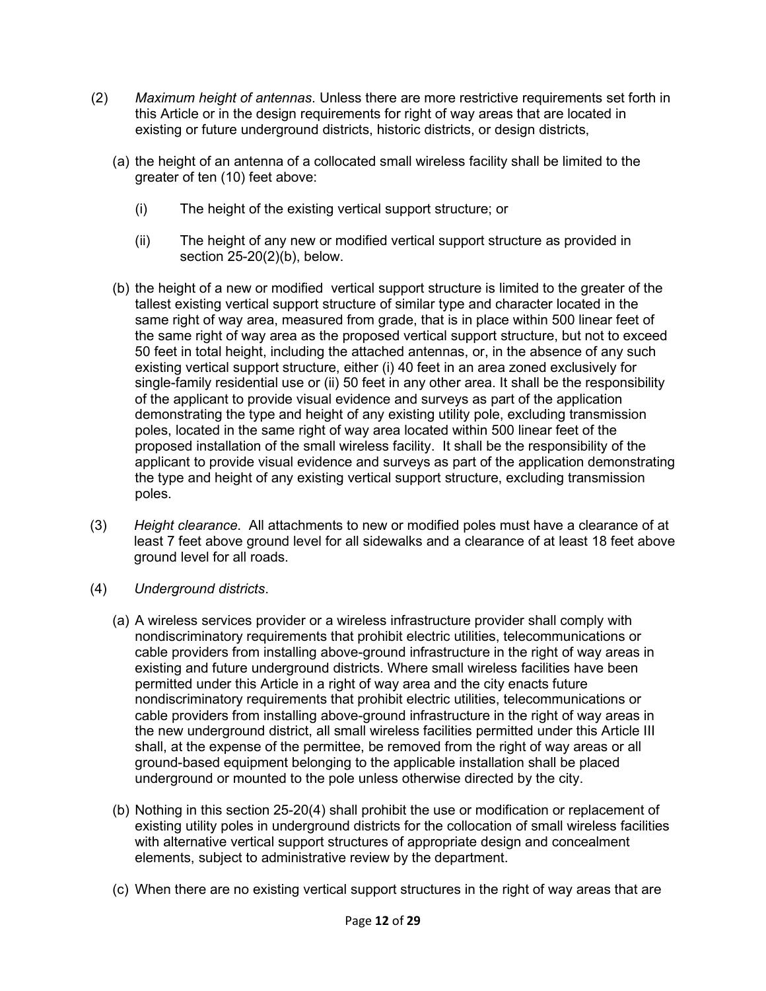- (2) *Maximum height of antennas*. Unless there are more restrictive requirements set forth in this Article or in the design requirements for right of way areas that are located in existing or future underground districts, historic districts, or design districts,
	- (a) the height of an antenna of a collocated small wireless facility shall be limited to the greater of ten (10) feet above:
		- (i) The height of the existing vertical support structure; or
		- (ii) The height of any new or modified vertical support structure as provided in section 25-20(2)(b), below.
	- (b) the height of a new or modified vertical support structure is limited to the greater of the tallest existing vertical support structure of similar type and character located in the same right of way area, measured from grade, that is in place within 500 linear feet of the same right of way area as the proposed vertical support structure, but not to exceed 50 feet in total height, including the attached antennas, or, in the absence of any such existing vertical support structure, either (i) 40 feet in an area zoned exclusively for single-family residential use or (ii) 50 feet in any other area. It shall be the responsibility of the applicant to provide visual evidence and surveys as part of the application demonstrating the type and height of any existing utility pole, excluding transmission poles, located in the same right of way area located within 500 linear feet of the proposed installation of the small wireless facility. It shall be the responsibility of the applicant to provide visual evidence and surveys as part of the application demonstrating the type and height of any existing vertical support structure, excluding transmission poles.
- (3) *Height clearance*. All attachments to new or modified poles must have a clearance of at least 7 feet above ground level for all sidewalks and a clearance of at least 18 feet above ground level for all roads.
- (4) *Underground districts*.
	- (a) A wireless services provider or a wireless infrastructure provider shall comply with nondiscriminatory requirements that prohibit electric utilities, telecommunications or cable providers from installing above-ground infrastructure in the right of way areas in existing and future underground districts. Where small wireless facilities have been permitted under this Article in a right of way area and the city enacts future nondiscriminatory requirements that prohibit electric utilities, telecommunications or cable providers from installing above-ground infrastructure in the right of way areas in the new underground district, all small wireless facilities permitted under this Article III shall, at the expense of the permittee, be removed from the right of way areas or all ground-based equipment belonging to the applicable installation shall be placed underground or mounted to the pole unless otherwise directed by the city.
	- (b) Nothing in this section 25-20(4) shall prohibit the use or modification or replacement of existing utility poles in underground districts for the collocation of small wireless facilities with alternative vertical support structures of appropriate design and concealment elements, subject to administrative review by the department.
	- (c) When there are no existing vertical support structures in the right of way areas that are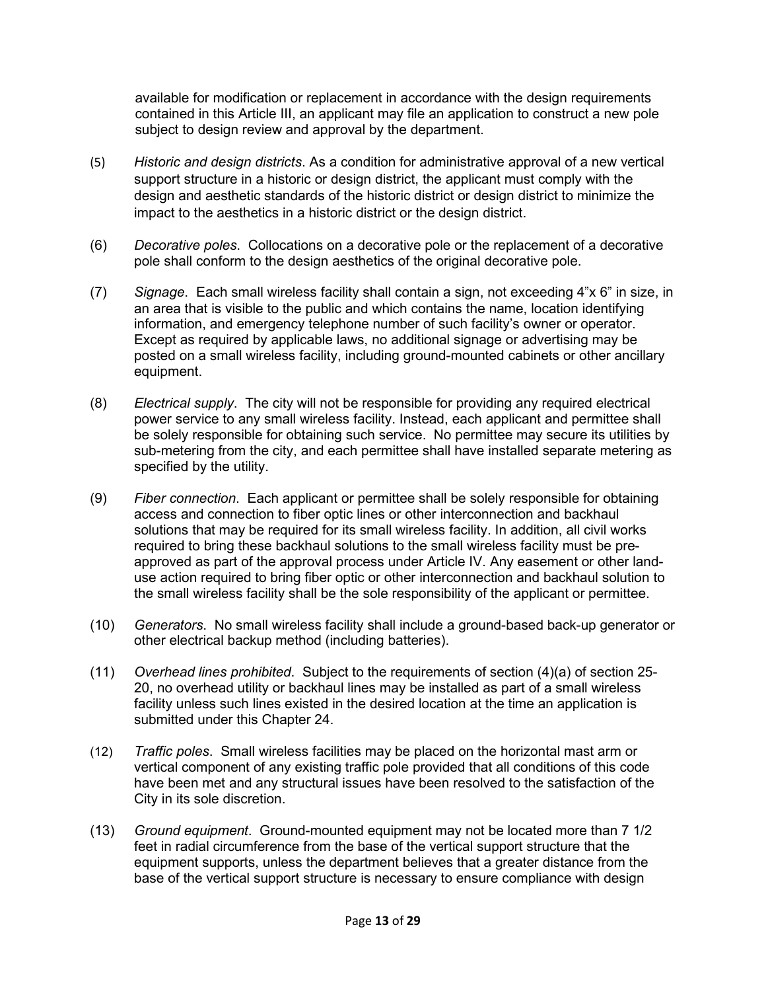available for modification or replacement in accordance with the design requirements contained in this Article III, an applicant may file an application to construct a new pole subject to design review and approval by the department.

- (5) *Historic and design districts*. As a condition for administrative approval of a new vertical support structure in a historic or design district, the applicant must comply with the design and aesthetic standards of the historic district or design district to minimize the impact to the aesthetics in a historic district or the design district.
- (6) *Decorative poles*. Collocations on a decorative pole or the replacement of a decorative pole shall conform to the design aesthetics of the original decorative pole.
- (7) *Signage*. Each small wireless facility shall contain a sign, not exceeding 4"x 6" in size, in an area that is visible to the public and which contains the name, location identifying information, and emergency telephone number of such facility's owner or operator. Except as required by applicable laws, no additional signage or advertising may be posted on a small wireless facility, including ground-mounted cabinets or other ancillary equipment.
- (8) *Electrical supply*. The city will not be responsible for providing any required electrical power service to any small wireless facility. Instead, each applicant and permittee shall be solely responsible for obtaining such service. No permittee may secure its utilities by sub-metering from the city, and each permittee shall have installed separate metering as specified by the utility.
- (9) *Fiber connection*. Each applicant or permittee shall be solely responsible for obtaining access and connection to fiber optic lines or other interconnection and backhaul solutions that may be required for its small wireless facility. In addition, all civil works required to bring these backhaul solutions to the small wireless facility must be preapproved as part of the approval process under Article IV. Any easement or other landuse action required to bring fiber optic or other interconnection and backhaul solution to the small wireless facility shall be the sole responsibility of the applicant or permittee.
- (10) *Generators*. No small wireless facility shall include a ground-based back-up generator or other electrical backup method (including batteries).
- (11) *Overhead lines prohibited*. Subject to the requirements of section (4)(a) of section 25- 20, no overhead utility or backhaul lines may be installed as part of a small wireless facility unless such lines existed in the desired location at the time an application is submitted under this Chapter 24.
- (12) *Traffic poles*. Small wireless facilities may be placed on the horizontal mast arm or vertical component of any existing traffic pole provided that all conditions of this code have been met and any structural issues have been resolved to the satisfaction of the City in its sole discretion.
- (13) *Ground equipment*. Ground-mounted equipment may not be located more than 7 1/2 feet in radial circumference from the base of the vertical support structure that the equipment supports, unless the department believes that a greater distance from the base of the vertical support structure is necessary to ensure compliance with design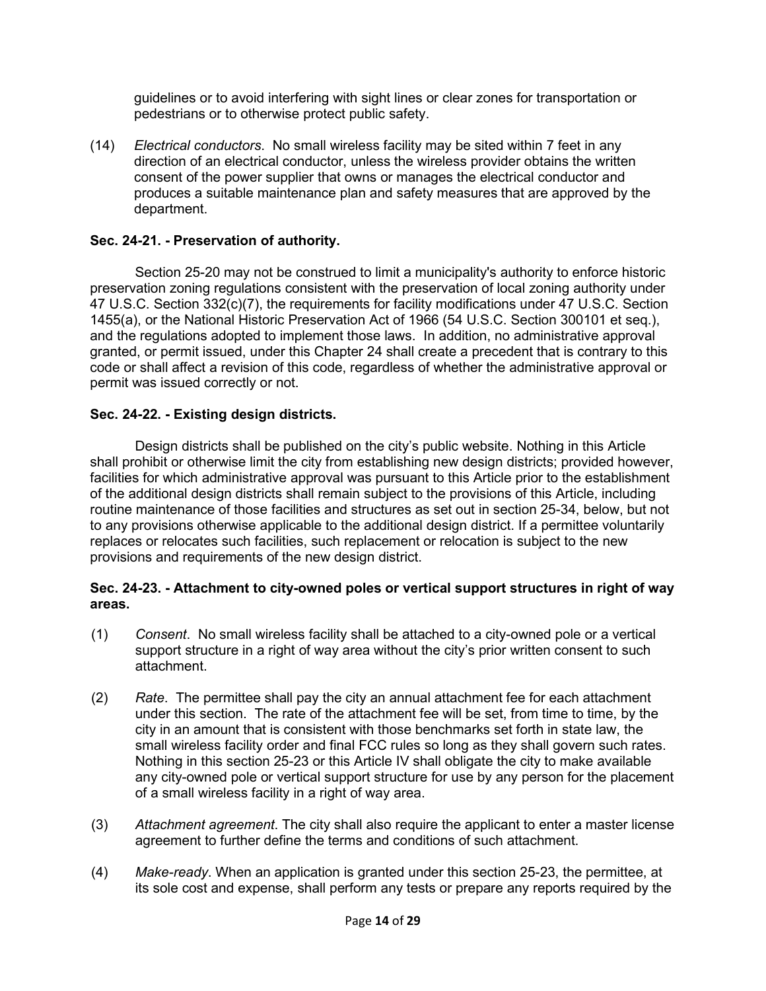guidelines or to avoid interfering with sight lines or clear zones for transportation or pedestrians or to otherwise protect public safety.

(14) *Electrical conductors*. No small wireless facility may be sited within 7 feet in any direction of an electrical conductor, unless the wireless provider obtains the written consent of the power supplier that owns or manages the electrical conductor and produces a suitable maintenance plan and safety measures that are approved by the department.

## **Sec. 24-21. - Preservation of authority.**

Section 25-20 may not be construed to limit a municipality's authority to enforce historic preservation zoning regulations consistent with the preservation of local zoning authority under 47 U.S.C. Section 332(c)(7), the requirements for facility modifications under 47 U.S.C. Section 1455(a), or the National Historic Preservation Act of 1966 (54 U.S.C. Section 300101 et seq.), and the regulations adopted to implement those laws. In addition, no administrative approval granted, or permit issued, under this Chapter 24 shall create a precedent that is contrary to this code or shall affect a revision of this code, regardless of whether the administrative approval or permit was issued correctly or not.

### **Sec. 24-22. - Existing design districts.**

Design districts shall be published on the city's public website. Nothing in this Article shall prohibit or otherwise limit the city from establishing new design districts; provided however, facilities for which administrative approval was pursuant to this Article prior to the establishment of the additional design districts shall remain subject to the provisions of this Article, including routine maintenance of those facilities and structures as set out in section 25-34, below, but not to any provisions otherwise applicable to the additional design district. If a permittee voluntarily replaces or relocates such facilities, such replacement or relocation is subject to the new provisions and requirements of the new design district.

### **Sec. 24-23. - Attachment to city-owned poles or vertical support structures in right of way areas.**

- (1) *Consent*. No small wireless facility shall be attached to a city-owned pole or a vertical support structure in a right of way area without the city's prior written consent to such attachment.
- (2) *Rate*. The permittee shall pay the city an annual attachment fee for each attachment under this section. The rate of the attachment fee will be set, from time to time, by the city in an amount that is consistent with those benchmarks set forth in state law, the small wireless facility order and final FCC rules so long as they shall govern such rates. Nothing in this section 25-23 or this Article IV shall obligate the city to make available any city-owned pole or vertical support structure for use by any person for the placement of a small wireless facility in a right of way area.
- (3) *Attachment agreement*. The city shall also require the applicant to enter a master license agreement to further define the terms and conditions of such attachment.
- (4) *Make-ready*. When an application is granted under this section 25-23, the permittee, at its sole cost and expense, shall perform any tests or prepare any reports required by the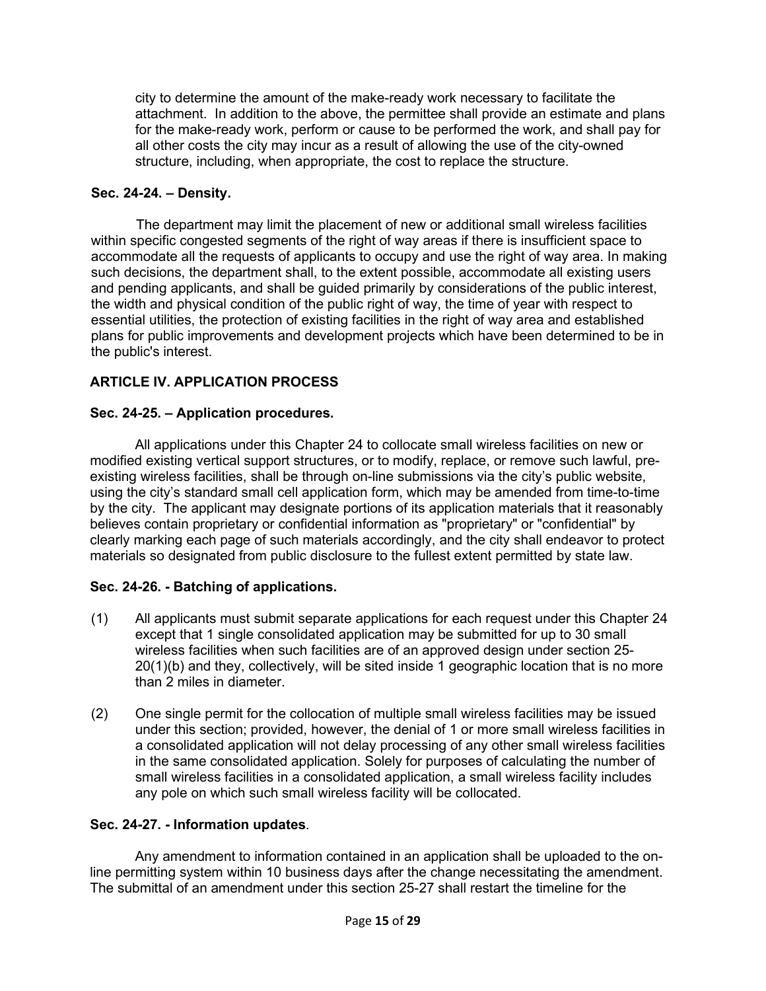city to determine the amount of the make-ready work necessary to facilitate the attachment. In addition to the above, the permittee shall provide an estimate and plans for the make-ready work, perform or cause to be performed the work, and shall pay for all other costs the city may incur as a result of allowing the use of the city-owned structure, including, when appropriate, the cost to replace the structure.

## **Sec. 24-24. – Density.**

The department may limit the placement of new or additional small wireless facilities within specific congested segments of the right of way areas if there is insufficient space to accommodate all the requests of applicants to occupy and use the right of way area. In making such decisions, the department shall, to the extent possible, accommodate all existing users and pending applicants, and shall be guided primarily by considerations of the public interest, the width and physical condition of the public right of way, the time of year with respect to essential utilities, the protection of existing facilities in the right of way area and established plans for public improvements and development projects which have been determined to be in the public's interest.

# **ARTICLE IV. APPLICATION PROCESS**

## **Sec. 24-25. – Application procedures.**

All applications under this Chapter 24 to collocate small wireless facilities on new or modified existing vertical support structures, or to modify, replace, or remove such lawful, preexisting wireless facilities, shall be through on-line submissions via the city's public website, using the city's standard small cell application form, which may be amended from time-to-time by the city. The applicant may designate portions of its application materials that it reasonably believes contain proprietary or confidential information as "proprietary" or "confidential" by clearly marking each page of such materials accordingly, and the city shall endeavor to protect materials so designated from public disclosure to the fullest extent permitted by state law.

# **Sec. 24-26. - Batching of applications.**

- (1) All applicants must submit separate applications for each request under this Chapter 24 except that 1 single consolidated application may be submitted for up to 30 small wireless facilities when such facilities are of an approved design under section 25- 20(1)(b) and they, collectively, will be sited inside 1 geographic location that is no more than 2 miles in diameter.
- (2) One single permit for the collocation of multiple small wireless facilities may be issued under this section; provided, however, the denial of 1 or more small wireless facilities in a consolidated application will not delay processing of any other small wireless facilities in the same consolidated application. Solely for purposes of calculating the number of small wireless facilities in a consolidated application, a small wireless facility includes any pole on which such small wireless facility will be collocated.

### **Sec. 24-27. - Information updates**.

Any amendment to information contained in an application shall be uploaded to the online permitting system within 10 business days after the change necessitating the amendment. The submittal of an amendment under this section 25-27 shall restart the timeline for the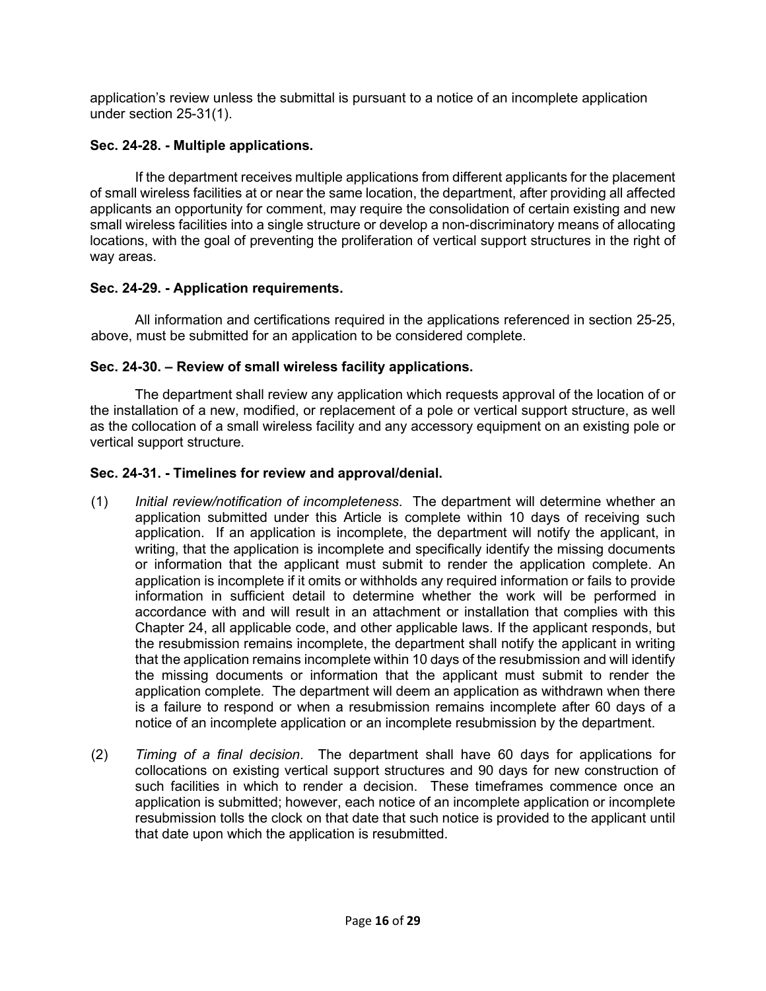application's review unless the submittal is pursuant to a notice of an incomplete application under section 25-31(1).

# **Sec. 24-28. - Multiple applications.**

If the department receives multiple applications from different applicants for the placement of small wireless facilities at or near the same location, the department, after providing all affected applicants an opportunity for comment, may require the consolidation of certain existing and new small wireless facilities into a single structure or develop a non-discriminatory means of allocating locations, with the goal of preventing the proliferation of vertical support structures in the right of way areas.

# **Sec. 24-29. - Application requirements.**

All information and certifications required in the applications referenced in section 25-25, above, must be submitted for an application to be considered complete.

# **Sec. 24-30. – Review of small wireless facility applications.**

The department shall review any application which requests approval of the location of or the installation of a new, modified, or replacement of a pole or vertical support structure, as well as the collocation of a small wireless facility and any accessory equipment on an existing pole or vertical support structure.

# **Sec. 24-31. - Timelines for review and approval/denial.**

- (1) *Initial review/notification of incompleteness*. The department will determine whether an application submitted under this Article is complete within 10 days of receiving such application. If an application is incomplete, the department will notify the applicant, in writing, that the application is incomplete and specifically identify the missing documents or information that the applicant must submit to render the application complete. An application is incomplete if it omits or withholds any required information or fails to provide information in sufficient detail to determine whether the work will be performed in accordance with and will result in an attachment or installation that complies with this Chapter 24, all applicable code, and other applicable laws. If the applicant responds, but the resubmission remains incomplete, the department shall notify the applicant in writing that the application remains incomplete within 10 days of the resubmission and will identify the missing documents or information that the applicant must submit to render the application complete. The department will deem an application as withdrawn when there is a failure to respond or when a resubmission remains incomplete after 60 days of a notice of an incomplete application or an incomplete resubmission by the department.
- (2) *Timing of a final decision*. The department shall have 60 days for applications for collocations on existing vertical support structures and 90 days for new construction of such facilities in which to render a decision. These timeframes commence once an application is submitted; however, each notice of an incomplete application or incomplete resubmission tolls the clock on that date that such notice is provided to the applicant until that date upon which the application is resubmitted.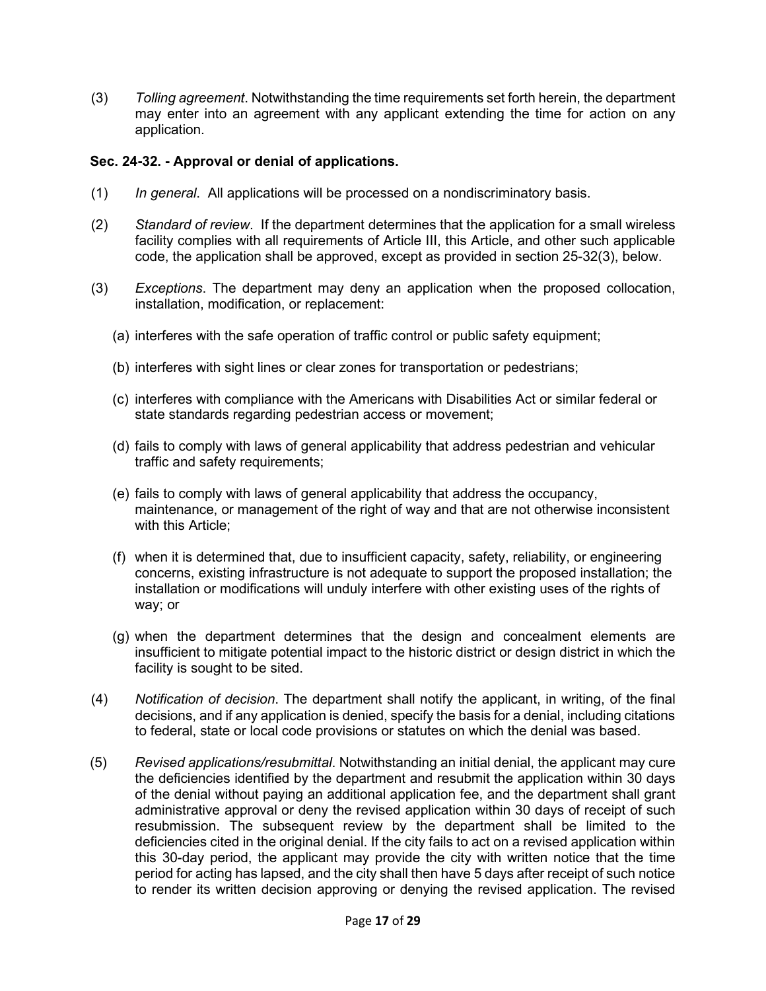(3) *Tolling agreement*. Notwithstanding the time requirements set forth herein, the department may enter into an agreement with any applicant extending the time for action on any application.

### **Sec. 24-32. - Approval or denial of applications.**

- (1) *In general*. All applications will be processed on a nondiscriminatory basis.
- (2) *Standard of review*. If the department determines that the application for a small wireless facility complies with all requirements of Article III, this Article, and other such applicable code, the application shall be approved, except as provided in section 25-32(3), below.
- (3) *Exceptions*. The department may deny an application when the proposed collocation, installation, modification, or replacement:
	- (a) interferes with the safe operation of traffic control or public safety equipment;
	- (b) interferes with sight lines or clear zones for transportation or pedestrians;
	- (c) interferes with compliance with the Americans with Disabilities Act or similar federal or state standards regarding pedestrian access or movement;
	- (d) fails to comply with laws of general applicability that address pedestrian and vehicular traffic and safety requirements;
	- (e) fails to comply with laws of general applicability that address the occupancy, maintenance, or management of the right of way and that are not otherwise inconsistent with this Article:
	- (f) when it is determined that, due to insufficient capacity, safety, reliability, or engineering concerns, existing infrastructure is not adequate to support the proposed installation; the installation or modifications will unduly interfere with other existing uses of the rights of way; or
	- (g) when the department determines that the design and concealment elements are insufficient to mitigate potential impact to the historic district or design district in which the facility is sought to be sited.
- (4) *Notification of decision*. The department shall notify the applicant, in writing, of the final decisions, and if any application is denied, specify the basis for a denial, including citations to federal, state or local code provisions or statutes on which the denial was based.
- (5) *Revised applications/resubmittal*. Notwithstanding an initial denial, the applicant may cure the deficiencies identified by the department and resubmit the application within 30 days of the denial without paying an additional application fee, and the department shall grant administrative approval or deny the revised application within 30 days of receipt of such resubmission. The subsequent review by the department shall be limited to the deficiencies cited in the original denial. If the city fails to act on a revised application within this 30-day period, the applicant may provide the city with written notice that the time period for acting has lapsed, and the city shall then have 5 days after receipt of such notice to render its written decision approving or denying the revised application. The revised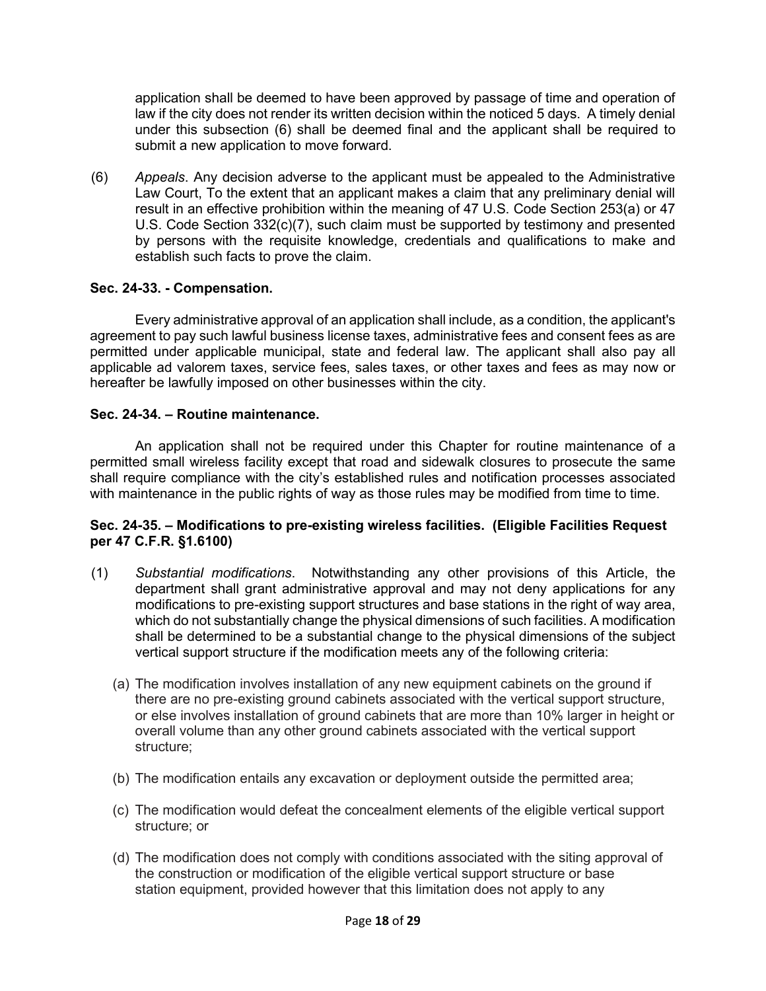application shall be deemed to have been approved by passage of time and operation of law if the city does not render its written decision within the noticed 5 days. A timely denial under this subsection (6) shall be deemed final and the applicant shall be required to submit a new application to move forward.

(6) *Appeals*. Any decision adverse to the applicant must be appealed to the Administrative Law Court, To the extent that an applicant makes a claim that any preliminary denial will result in an effective prohibition within the meaning of 47 U.S. Code Section 253(a) or 47 U.S. Code Section 332(c)(7), such claim must be supported by testimony and presented by persons with the requisite knowledge, credentials and qualifications to make and establish such facts to prove the claim.

## **Sec. 24-33. - Compensation.**

Every administrative approval of an application shall include, as a condition, the applicant's agreement to pay such lawful business license taxes, administrative fees and consent fees as are permitted under applicable municipal, state and federal law. The applicant shall also pay all applicable ad valorem taxes, service fees, sales taxes, or other taxes and fees as may now or hereafter be lawfully imposed on other businesses within the city.

## **Sec. 24-34. – Routine maintenance.**

An application shall not be required under this Chapter for routine maintenance of a permitted small wireless facility except that road and sidewalk closures to prosecute the same shall require compliance with the city's established rules and notification processes associated with maintenance in the public rights of way as those rules may be modified from time to time.

## **Sec. 24-35. – Modifications to pre-existing wireless facilities. (Eligible Facilities Request per 47 C.F.R. §1.6100)**

- (1) *Substantial modifications*. Notwithstanding any other provisions of this Article, the department shall grant administrative approval and may not deny applications for any modifications to pre-existing support structures and base stations in the right of way area, which do not substantially change the physical dimensions of such facilities. A modification shall be determined to be a substantial change to the physical dimensions of the subject vertical support structure if the modification meets any of the following criteria:
	- (a) The modification involves installation of any new equipment cabinets on the ground if there are no pre-existing ground cabinets associated with the [vertical support structure,](https://www.law.cornell.edu/definitions/index.php?width=840&height=800&iframe=true&def_id=ad36c6de93fc30b3811dae74d3a9f231&term_occur=999&term_src=Title:47:Chapter:I:Subchapter:A:Part:1:Subpart:U:1.6100) or else involves installation of ground cabinets that are more than 10% larger in height or overall volume than any other ground cabinets associated with the [vertical support](https://www.law.cornell.edu/definitions/index.php?width=840&height=800&iframe=true&def_id=ad36c6de93fc30b3811dae74d3a9f231&term_occur=999&term_src=Title:47:Chapter:I:Subchapter:A:Part:1:Subpart:U:1.6100)  [structure;](https://www.law.cornell.edu/definitions/index.php?width=840&height=800&iframe=true&def_id=ad36c6de93fc30b3811dae74d3a9f231&term_occur=999&term_src=Title:47:Chapter:I:Subchapter:A:Part:1:Subpart:U:1.6100)
	- (b) The modification entails any excavation or [deployment](https://www.law.cornell.edu/definitions/index.php?width=840&height=800&iframe=true&def_id=1c0ac1db6f3e2bbe520a8a60f24c6191&term_occur=999&term_src=Title:47:Chapter:I:Subchapter:A:Part:1:Subpart:U:1.6100) outside the permitted area;
	- (c) The modification would defeat the concealment elements of the eligible [vertical support](https://www.law.cornell.edu/definitions/index.php?width=840&height=800&iframe=true&def_id=ad36c6de93fc30b3811dae74d3a9f231&term_occur=999&term_src=Title:47:Chapter:I:Subchapter:A:Part:1:Subpart:U:1.6100)  [structure;](https://www.law.cornell.edu/definitions/index.php?width=840&height=800&iframe=true&def_id=ad36c6de93fc30b3811dae74d3a9f231&term_occur=999&term_src=Title:47:Chapter:I:Subchapter:A:Part:1:Subpart:U:1.6100) or
	- (d) The modification does not comply with conditions associated with the siting approval of the construction or modification of the eligible vertical support [structure](https://www.law.cornell.edu/definitions/index.php?width=840&height=800&iframe=true&def_id=ad36c6de93fc30b3811dae74d3a9f231&term_occur=999&term_src=Title:47:Chapter:I:Subchapter:A:Part:1:Subpart:U:1.6100) or base station equipment, provided however that this limitation does not apply to any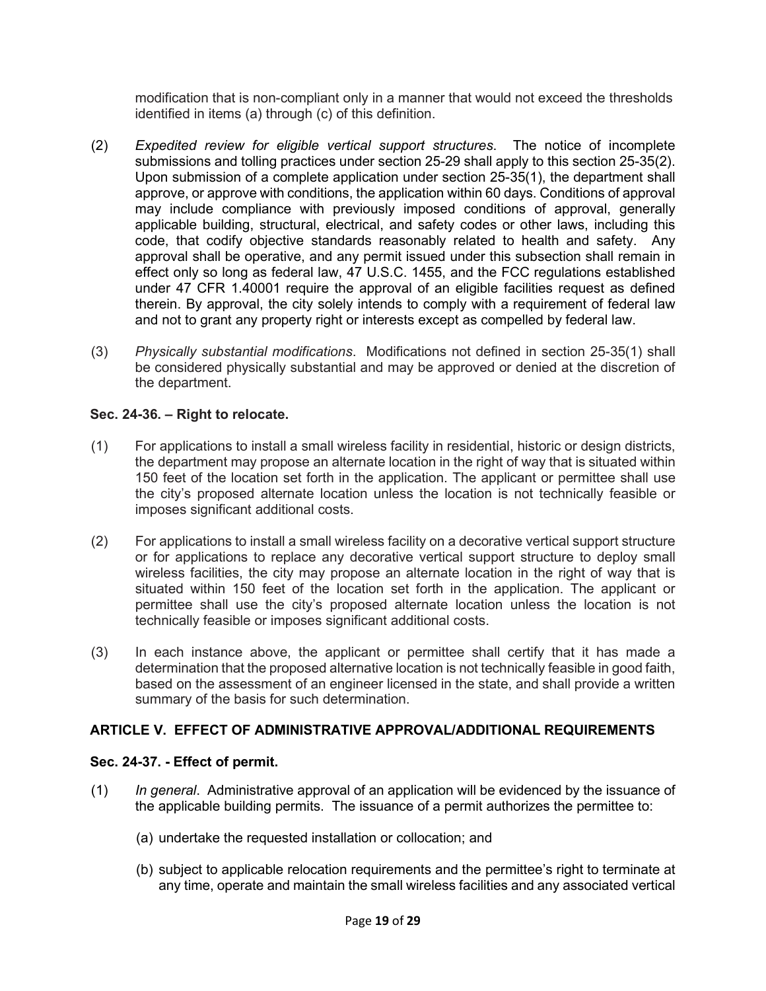modification that is non-compliant only in a manner that would not exceed the thresholds identified in [items \(a\)](https://www.law.cornell.edu/cfr/text/47/1.40001#b_7_i) through (c) of this definition.

- (2) *Expedited review for eligible vertical support structures*. The notice of incomplete submissions and tolling practices under section 25-29 shall apply to this section 25-35(2). Upon submission of a complete application under section 25-35(1), the department shall approve, or approve with conditions, the application within 60 days. Conditions of approval may include compliance with previously imposed conditions of approval, generally applicable building, structural, electrical, and safety codes or other laws, including this code, that codify objective standards reasonably related to health and safety. Any approval shall be operative, and any permit issued under this subsection shall remain in effect only so long as federal law, 47 U.S.C. 1455, and the FCC regulations established under 47 CFR 1.40001 require the approval of an eligible facilities request as defined therein. By approval, the city solely intends to comply with a requirement of federal law and not to grant any property right or interests except as compelled by federal law.
- (3) *Physically substantial modifications*. Modifications not defined in section 25-35(1) shall be considered physically substantial and may be approved or denied at the discretion of the department.

## **Sec. 24-36. – Right to relocate.**

- (1) For applications to install a small wireless facility in residential, historic or design districts, the department may propose an alternate location in the right of way that is situated within 150 feet of the location set forth in the application. The applicant or permittee shall use the city's proposed alternate location unless the location is not technically feasible or imposes significant additional costs.
- (2) For applications to install a small wireless facility on a decorative vertical support structure or for applications to replace any decorative vertical support structure to deploy small wireless facilities, the city may propose an alternate location in the right of way that is situated within 150 feet of the location set forth in the application. The applicant or permittee shall use the city's proposed alternate location unless the location is not technically feasible or imposes significant additional costs.
- (3) In each instance above, the applicant or permittee shall certify that it has made a determination that the proposed alternative location is not technically feasible in good faith, based on the assessment of an engineer licensed in the state, and shall provide a written summary of the basis for such determination.

# **ARTICLE V. EFFECT OF ADMINISTRATIVE APPROVAL/ADDITIONAL REQUIREMENTS**

### **Sec. 24-37. - Effect of permit.**

- (1) *In general*. Administrative approval of an application will be evidenced by the issuance of the applicable building permits. The issuance of a permit authorizes the permittee to:
	- (a) undertake the requested installation or collocation; and
	- (b) subject to applicable relocation requirements and the permittee's right to terminate at any time, operate and maintain the small wireless facilities and any associated vertical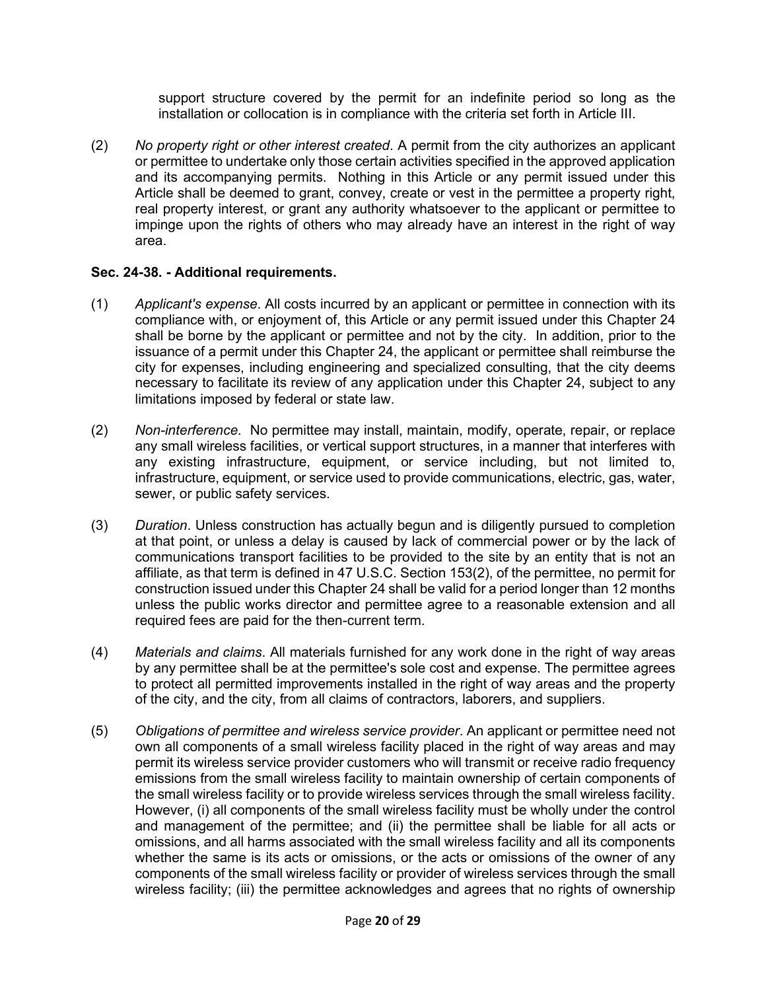support structure covered by the permit for an indefinite period so long as the installation or collocation is in compliance with the criteria set forth in Article III.

(2) *No property right or other interest created*. A permit from the city authorizes an applicant or permittee to undertake only those certain activities specified in the approved application and its accompanying permits. Nothing in this Article or any permit issued under this Article shall be deemed to grant, convey, create or vest in the permittee a property right, real property interest, or grant any authority whatsoever to the applicant or permittee to impinge upon the rights of others who may already have an interest in the right of way area.

## **Sec. 24-38. - Additional requirements.**

- (1) *Applicant's expense*. All costs incurred by an applicant or permittee in connection with its compliance with, or enjoyment of, this Article or any permit issued under this Chapter 24 shall be borne by the applicant or permittee and not by the city. In addition, prior to the issuance of a permit under this Chapter 24, the applicant or permittee shall reimburse the city for expenses, including engineering and specialized consulting, that the city deems necessary to facilitate its review of any application under this Chapter 24, subject to any limitations imposed by federal or state law.
- (2) *Non-interference*. No permittee may install, maintain, modify, operate, repair, or replace any small wireless facilities, or vertical support structures, in a manner that interferes with any existing infrastructure, equipment, or service including, but not limited to, infrastructure, equipment, or service used to provide communications, electric, gas, water, sewer, or public safety services.
- (3) *Duration*. Unless construction has actually begun and is diligently pursued to completion at that point, or unless a delay is caused by lack of commercial power or by the lack of communications transport facilities to be provided to the site by an entity that is not an affiliate, as that term is defined in 47 U.S.C. Section 153(2), of the permittee, no permit for construction issued under this Chapter 24 shall be valid for a period longer than 12 months unless the public works director and permittee agree to a reasonable extension and all required fees are paid for the then-current term.
- (4) *Materials and claims*. All materials furnished for any work done in the right of way areas by any permittee shall be at the permittee's sole cost and expense. The permittee agrees to protect all permitted improvements installed in the right of way areas and the property of the city, and the city, from all claims of contractors, laborers, and suppliers.
- (5) *Obligations of permittee and wireless service provider*. An applicant or permittee need not own all components of a small wireless facility placed in the right of way areas and may permit its wireless service provider customers who will transmit or receive radio frequency emissions from the small wireless facility to maintain ownership of certain components of the small wireless facility or to provide wireless services through the small wireless facility. However, (i) all components of the small wireless facility must be wholly under the control and management of the permittee; and (ii) the permittee shall be liable for all acts or omissions, and all harms associated with the small wireless facility and all its components whether the same is its acts or omissions, or the acts or omissions of the owner of any components of the small wireless facility or provider of wireless services through the small wireless facility; (iii) the permittee acknowledges and agrees that no rights of ownership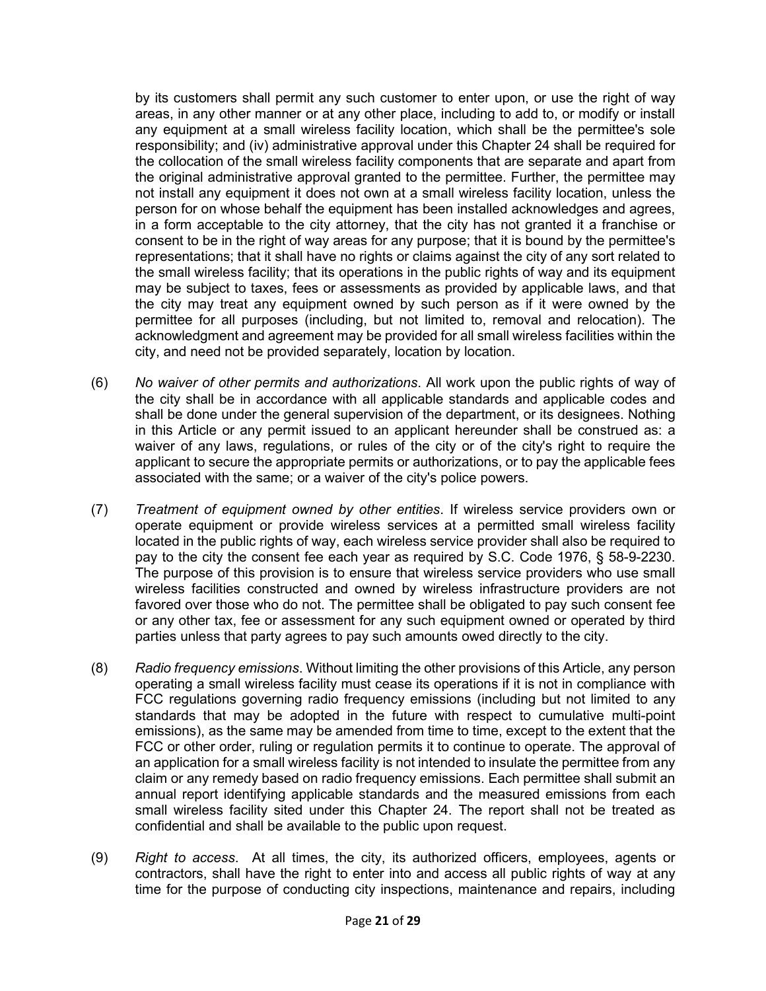by its customers shall permit any such customer to enter upon, or use the right of way areas, in any other manner or at any other place, including to add to, or modify or install any equipment at a small wireless facility location, which shall be the permittee's sole responsibility; and (iv) administrative approval under this Chapter 24 shall be required for the collocation of the small wireless facility components that are separate and apart from the original administrative approval granted to the permittee. Further, the permittee may not install any equipment it does not own at a small wireless facility location, unless the person for on whose behalf the equipment has been installed acknowledges and agrees, in a form acceptable to the city attorney, that the city has not granted it a franchise or consent to be in the right of way areas for any purpose; that it is bound by the permittee's representations; that it shall have no rights or claims against the city of any sort related to the small wireless facility; that its operations in the public rights of way and its equipment may be subject to taxes, fees or assessments as provided by applicable laws, and that the city may treat any equipment owned by such person as if it were owned by the permittee for all purposes (including, but not limited to, removal and relocation). The acknowledgment and agreement may be provided for all small wireless facilities within the city, and need not be provided separately, location by location.

- (6) *No waiver of other permits and authorizations*. All work upon the public rights of way of the city shall be in accordance with all applicable standards and applicable codes and shall be done under the general supervision of the department, or its designees. Nothing in this Article or any permit issued to an applicant hereunder shall be construed as: a waiver of any laws, regulations, or rules of the city or of the city's right to require the applicant to secure the appropriate permits or authorizations, or to pay the applicable fees associated with the same; or a waiver of the city's police powers.
- (7) *Treatment of equipment owned by other entities*. If wireless service providers own or operate equipment or provide wireless services at a permitted small wireless facility located in the public rights of way, each wireless service provider shall also be required to pay to the city the consent fee each year as required by S.C. Code 1976, § 58-9-2230. The purpose of this provision is to ensure that wireless service providers who use small wireless facilities constructed and owned by wireless infrastructure providers are not favored over those who do not. The permittee shall be obligated to pay such consent fee or any other tax, fee or assessment for any such equipment owned or operated by third parties unless that party agrees to pay such amounts owed directly to the city.
- (8) *Radio frequency emissions*. Without limiting the other provisions of this Article, any person operating a small wireless facility must cease its operations if it is not in compliance with FCC regulations governing radio frequency emissions (including but not limited to any standards that may be adopted in the future with respect to cumulative multi-point emissions), as the same may be amended from time to time, except to the extent that the FCC or other order, ruling or regulation permits it to continue to operate. The approval of an application for a small wireless facility is not intended to insulate the permittee from any claim or any remedy based on radio frequency emissions. Each permittee shall submit an annual report identifying applicable standards and the measured emissions from each small wireless facility sited under this Chapter 24. The report shall not be treated as confidential and shall be available to the public upon request.
- (9) *Right to access*. At all times, the city, its authorized officers, employees, agents or contractors, shall have the right to enter into and access all public rights of way at any time for the purpose of conducting city inspections, maintenance and repairs, including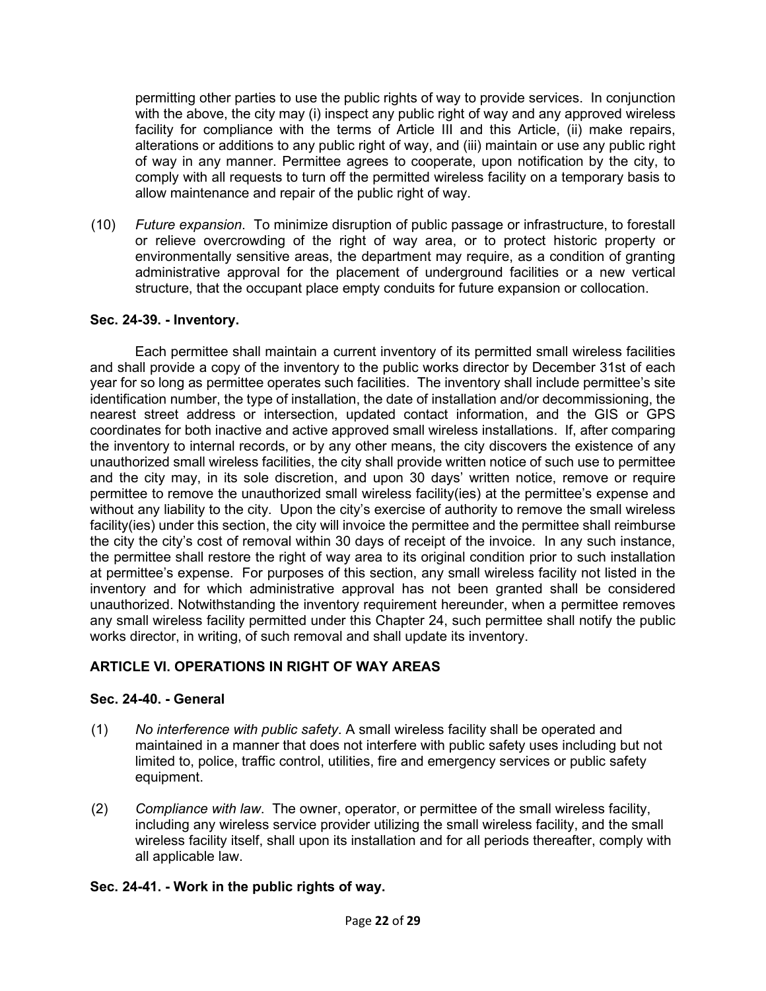permitting other parties to use the public rights of way to provide services. In conjunction with the above, the city may (i) inspect any public right of way and any approved wireless facility for compliance with the terms of Article III and this Article, (ii) make repairs, alterations or additions to any public right of way, and (iii) maintain or use any public right of way in any manner. Permittee agrees to cooperate, upon notification by the city, to comply with all requests to turn off the permitted wireless facility on a temporary basis to allow maintenance and repair of the public right of way.

(10) *Future expansion*. To minimize disruption of public passage or infrastructure, to forestall or relieve overcrowding of the right of way area, or to protect historic property or environmentally sensitive areas, the department may require, as a condition of granting administrative approval for the placement of underground facilities or a new vertical structure, that the occupant place empty conduits for future expansion or collocation.

### **Sec. 24-39. - Inventory.**

Each permittee shall maintain a current inventory of its permitted small wireless facilities and shall provide a copy of the inventory to the public works director by December 31st of each year for so long as permittee operates such facilities. The inventory shall include permittee's site identification number, the type of installation, the date of installation and/or decommissioning, the nearest street address or intersection, updated contact information, and the GIS or GPS coordinates for both inactive and active approved small wireless installations. If, after comparing the inventory to internal records, or by any other means, the city discovers the existence of any unauthorized small wireless facilities, the city shall provide written notice of such use to permittee and the city may, in its sole discretion, and upon 30 days' written notice, remove or require permittee to remove the unauthorized small wireless facility(ies) at the permittee's expense and without any liability to the city. Upon the city's exercise of authority to remove the small wireless facility(ies) under this section, the city will invoice the permittee and the permittee shall reimburse the city the city's cost of removal within 30 days of receipt of the invoice. In any such instance, the permittee shall restore the right of way area to its original condition prior to such installation at permittee's expense. For purposes of this section, any small wireless facility not listed in the inventory and for which administrative approval has not been granted shall be considered unauthorized. Notwithstanding the inventory requirement hereunder, when a permittee removes any small wireless facility permitted under this Chapter 24, such permittee shall notify the public works director, in writing, of such removal and shall update its inventory.

# **ARTICLE VI. OPERATIONS IN RIGHT OF WAY AREAS**

# **Sec. 24-40. - General**

- (1) *No interference with public safety*. A small wireless facility shall be operated and maintained in a manner that does not interfere with public safety uses including but not limited to, police, traffic control, utilities, fire and emergency services or public safety equipment.
- (2) *Compliance with law*. The owner, operator, or permittee of the small wireless facility, including any wireless service provider utilizing the small wireless facility, and the small wireless facility itself, shall upon its installation and for all periods thereafter, comply with all applicable law.

# **Sec. 24-41. - Work in the public rights of way.**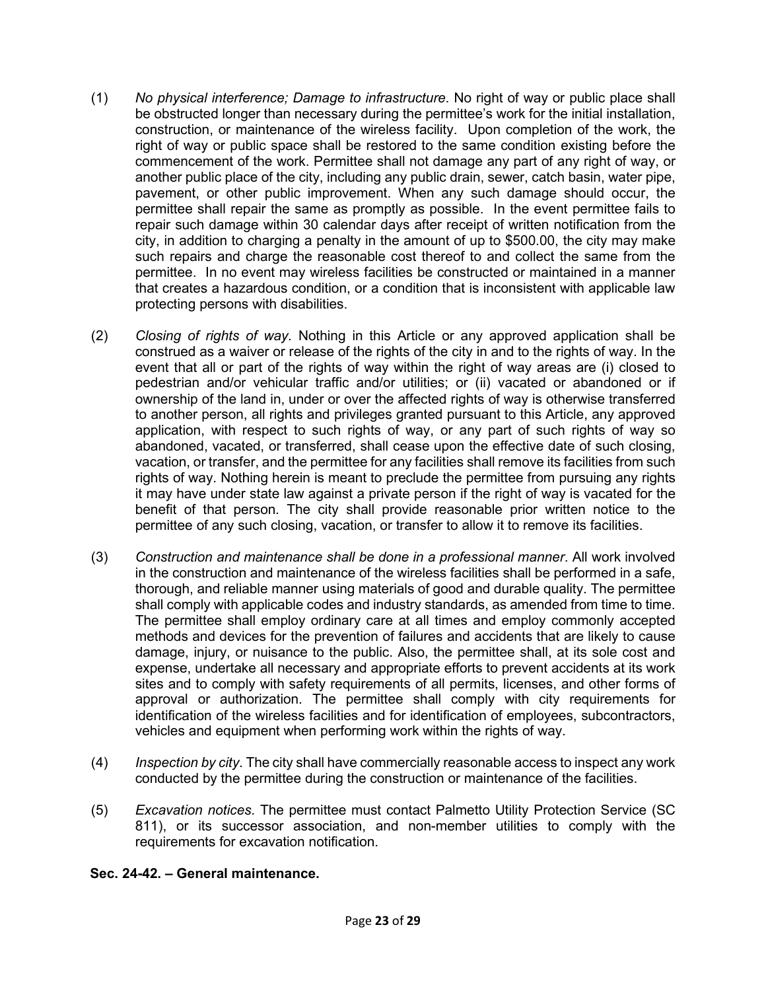- (1) *No physical interference; Damage to infrastructure*. No right of way or public place shall be obstructed longer than necessary during the permittee's work for the initial installation, construction, or maintenance of the wireless facility. Upon completion of the work, the right of way or public space shall be restored to the same condition existing before the commencement of the work. Permittee shall not damage any part of any right of way, or another public place of the city, including any public drain, sewer, catch basin, water pipe, pavement, or other public improvement. When any such damage should occur, the permittee shall repair the same as promptly as possible. In the event permittee fails to repair such damage within 30 calendar days after receipt of written notification from the city, in addition to charging a penalty in the amount of up to \$500.00, the city may make such repairs and charge the reasonable cost thereof to and collect the same from the permittee. In no event may wireless facilities be constructed or maintained in a manner that creates a hazardous condition, or a condition that is inconsistent with applicable law protecting persons with disabilities.
- (2) *Closing of rights of way*. Nothing in this Article or any approved application shall be construed as a waiver or release of the rights of the city in and to the rights of way. In the event that all or part of the rights of way within the right of way areas are (i) closed to pedestrian and/or vehicular traffic and/or utilities; or (ii) vacated or abandoned or if ownership of the land in, under or over the affected rights of way is otherwise transferred to another person, all rights and privileges granted pursuant to this Article, any approved application, with respect to such rights of way, or any part of such rights of way so abandoned, vacated, or transferred, shall cease upon the effective date of such closing, vacation, or transfer, and the permittee for any facilities shall remove its facilities from such rights of way. Nothing herein is meant to preclude the permittee from pursuing any rights it may have under state law against a private person if the right of way is vacated for the benefit of that person. The city shall provide reasonable prior written notice to the permittee of any such closing, vacation, or transfer to allow it to remove its facilities.
- (3) *Construction and maintenance shall be done in a professional manner*. All work involved in the construction and maintenance of the wireless facilities shall be performed in a safe, thorough, and reliable manner using materials of good and durable quality. The permittee shall comply with applicable codes and industry standards, as amended from time to time. The permittee shall employ ordinary care at all times and employ commonly accepted methods and devices for the prevention of failures and accidents that are likely to cause damage, injury, or nuisance to the public. Also, the permittee shall, at its sole cost and expense, undertake all necessary and appropriate efforts to prevent accidents at its work sites and to comply with safety requirements of all permits, licenses, and other forms of approval or authorization. The permittee shall comply with city requirements for identification of the wireless facilities and for identification of employees, subcontractors, vehicles and equipment when performing work within the rights of way.
- (4) *Inspection by city*. The city shall have commercially reasonable access to inspect any work conducted by the permittee during the construction or maintenance of the facilities.
- (5) *Excavation notices*. The permittee must contact Palmetto Utility Protection Service (SC 811), or its successor association, and non-member utilities to comply with the requirements for excavation notification.

### **Sec. 24-42. – General maintenance.**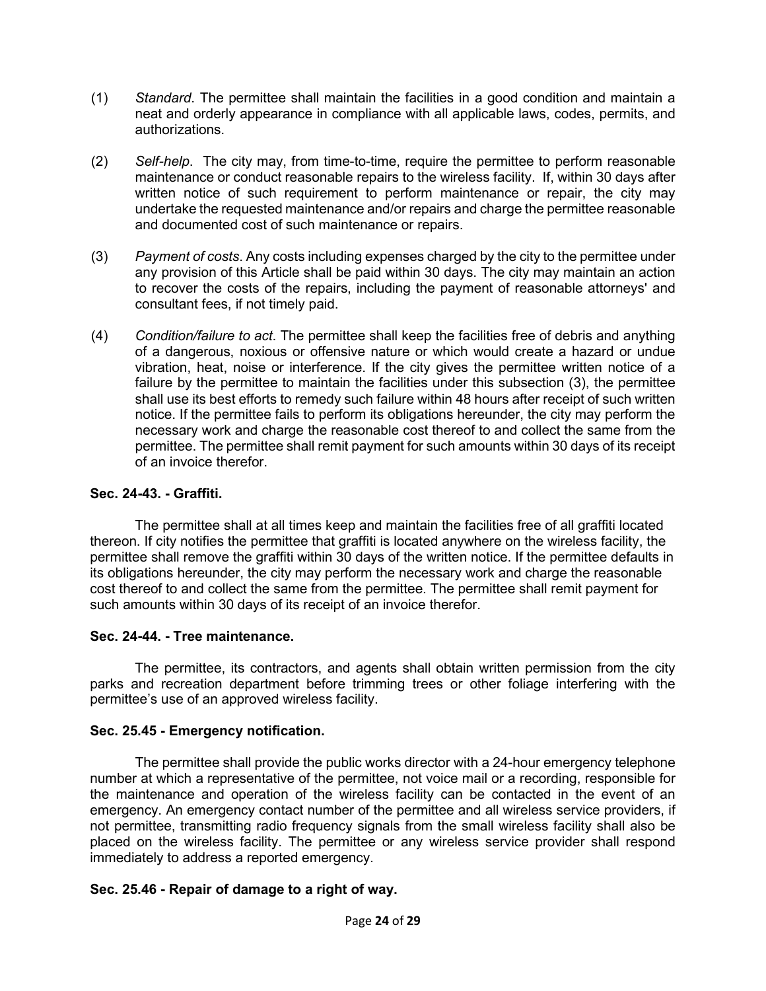- (1) *Standard*. The permittee shall maintain the facilities in a good condition and maintain a neat and orderly appearance in compliance with all applicable laws, codes, permits, and authorizations.
- (2) *Self-help*. The city may, from time-to-time, require the permittee to perform reasonable maintenance or conduct reasonable repairs to the wireless facility. If, within 30 days after written notice of such requirement to perform maintenance or repair, the city may undertake the requested maintenance and/or repairs and charge the permittee reasonable and documented cost of such maintenance or repairs.
- (3) *Payment of costs*. Any costs including expenses charged by the city to the permittee under any provision of this Article shall be paid within 30 days. The city may maintain an action to recover the costs of the repairs, including the payment of reasonable attorneys' and consultant fees, if not timely paid.
- (4) *Condition/failure to act*. The permittee shall keep the facilities free of debris and anything of a dangerous, noxious or offensive nature or which would create a hazard or undue vibration, heat, noise or interference. If the city gives the permittee written notice of a failure by the permittee to maintain the facilities under this subsection (3), the permittee shall use its best efforts to remedy such failure within 48 hours after receipt of such written notice. If the permittee fails to perform its obligations hereunder, the city may perform the necessary work and charge the reasonable cost thereof to and collect the same from the permittee. The permittee shall remit payment for such amounts within 30 days of its receipt of an invoice therefor.

## **Sec. 24-43. - Graffiti.**

The permittee shall at all times keep and maintain the facilities free of all graffiti located thereon. If city notifies the permittee that graffiti is located anywhere on the wireless facility, the permittee shall remove the graffiti within 30 days of the written notice. If the permittee defaults in its obligations hereunder, the city may perform the necessary work and charge the reasonable cost thereof to and collect the same from the permittee. The permittee shall remit payment for such amounts within 30 days of its receipt of an invoice therefor.

### **Sec. 24-44. - Tree maintenance.**

The permittee, its contractors, and agents shall obtain written permission from the city parks and recreation department before trimming trees or other foliage interfering with the permittee's use of an approved wireless facility.

# **Sec. 25.45 - Emergency notification.**

The permittee shall provide the public works director with a 24-hour emergency telephone number at which a representative of the permittee, not voice mail or a recording, responsible for the maintenance and operation of the wireless facility can be contacted in the event of an emergency. An emergency contact number of the permittee and all wireless service providers, if not permittee, transmitting radio frequency signals from the small wireless facility shall also be placed on the wireless facility. The permittee or any wireless service provider shall respond immediately to address a reported emergency.

# **Sec. 25.46 - Repair of damage to a right of way.**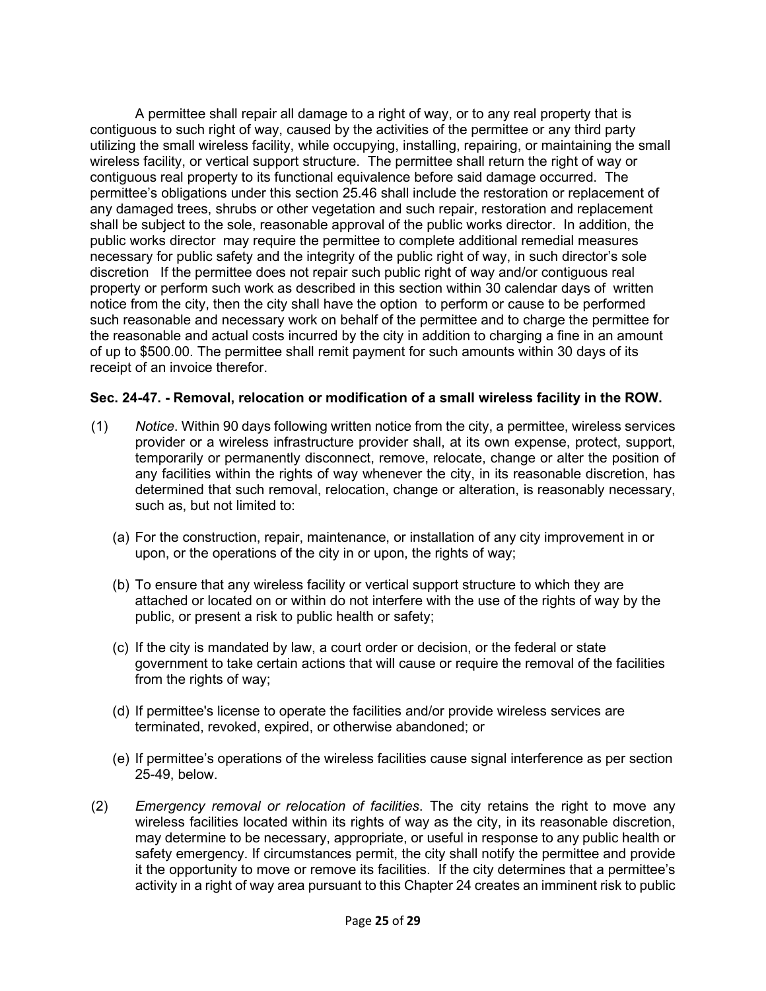A permittee shall repair all damage to a right of way, or to any real property that is contiguous to such right of way, caused by the activities of the permittee or any third party utilizing the small wireless facility, while occupying, installing, repairing, or maintaining the small wireless facility, or vertical support structure. The permittee shall return the right of way or contiguous real property to its functional equivalence before said damage occurred. The permittee's obligations under this section 25.46 shall include the restoration or replacement of any damaged trees, shrubs or other vegetation and such repair, restoration and replacement shall be subject to the sole, reasonable approval of the public works director. In addition, the public works director may require the permittee to complete additional remedial measures necessary for public safety and the integrity of the public right of way, in such director's sole discretion If the permittee does not repair such public right of way and/or contiguous real property or perform such work as described in this section within 30 calendar days of written notice from the city, then the city shall have the option to perform or cause to be performed such reasonable and necessary work on behalf of the permittee and to charge the permittee for the reasonable and actual costs incurred by the city in addition to charging a fine in an amount of up to \$500.00. The permittee shall remit payment for such amounts within 30 days of its receipt of an invoice therefor.

### **Sec. 24-47. - Removal, relocation or modification of a small wireless facility in the ROW.**

- (1) *Notice*. Within 90 days following written notice from the city, a permittee, wireless services provider or a wireless infrastructure provider shall, at its own expense, protect, support, temporarily or permanently disconnect, remove, relocate, change or alter the position of any facilities within the rights of way whenever the city, in its reasonable discretion, has determined that such removal, relocation, change or alteration, is reasonably necessary, such as, but not limited to:
	- (a) For the construction, repair, maintenance, or installation of any city improvement in or upon, or the operations of the city in or upon, the rights of way;
	- (b) To ensure that any wireless facility or vertical support structure to which they are attached or located on or within do not interfere with the use of the rights of way by the public, or present a risk to public health or safety;
	- (c) If the city is mandated by law, a court order or decision, or the federal or state government to take certain actions that will cause or require the removal of the facilities from the rights of way;
	- (d) If permittee's license to operate the facilities and/or provide wireless services are terminated, revoked, expired, or otherwise abandoned; or
	- (e) If permittee's operations of the wireless facilities cause signal interference as per section 25-49, below.
- (2) *Emergency removal or relocation of facilities*. The city retains the right to move any wireless facilities located within its rights of way as the city, in its reasonable discretion, may determine to be necessary, appropriate, or useful in response to any public health or safety emergency. If circumstances permit, the city shall notify the permittee and provide it the opportunity to move or remove its facilities. If the city determines that a permittee's activity in a right of way area pursuant to this Chapter 24 creates an imminent risk to public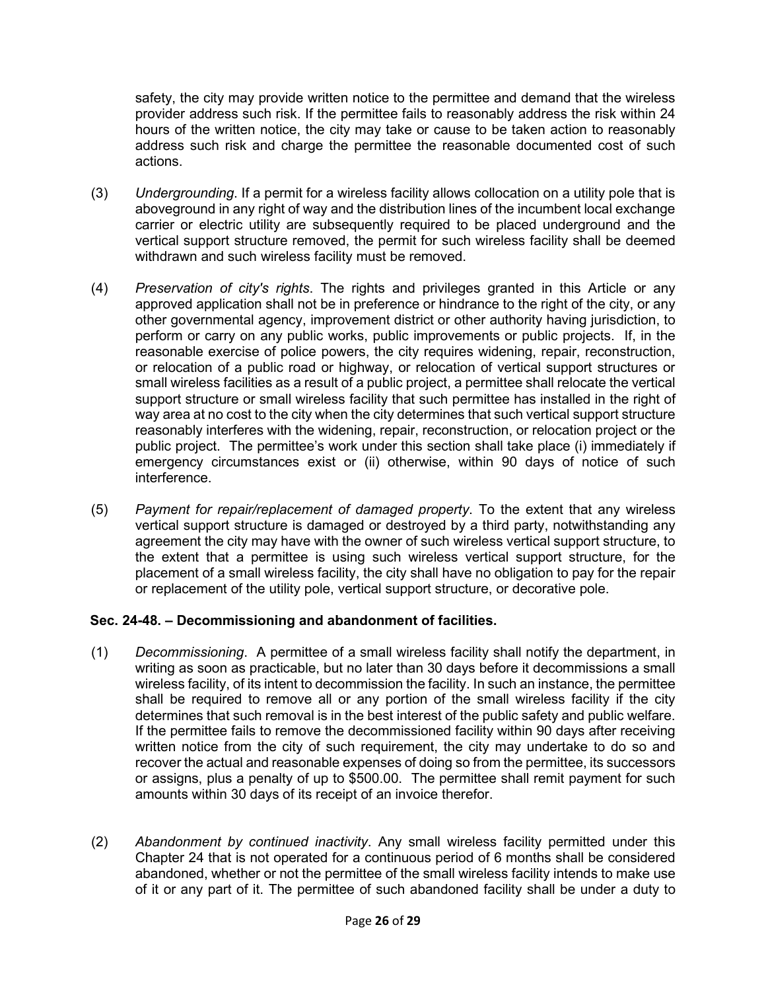safety, the city may provide written notice to the permittee and demand that the wireless provider address such risk. If the permittee fails to reasonably address the risk within 24 hours of the written notice, the city may take or cause to be taken action to reasonably address such risk and charge the permittee the reasonable documented cost of such actions.

- (3) *Undergrounding*. If a permit for a wireless facility allows collocation on a utility pole that is aboveground in any right of way and the distribution lines of the incumbent local exchange carrier or electric utility are subsequently required to be placed underground and the vertical support structure removed, the permit for such wireless facility shall be deemed withdrawn and such wireless facility must be removed.
- (4) *Preservation of city's rights*. The rights and privileges granted in this Article or any approved application shall not be in preference or hindrance to the right of the city, or any other governmental agency, improvement district or other authority having jurisdiction, to perform or carry on any public works, public improvements or public projects. If, in the reasonable exercise of police powers, the city requires widening, repair, reconstruction, or relocation of a public road or highway, or relocation of vertical support structures or small wireless facilities as a result of a public project, a permittee shall relocate the vertical support structure or small wireless facility that such permittee has installed in the right of way area at no cost to the city when the city determines that such vertical support structure reasonably interferes with the widening, repair, reconstruction, or relocation project or the public project. The permittee's work under this section shall take place (i) immediately if emergency circumstances exist or (ii) otherwise, within 90 days of notice of such interference.
- (5) *Payment for repair/replacement of damaged property*. To the extent that any wireless vertical support structure is damaged or destroyed by a third party, notwithstanding any agreement the city may have with the owner of such wireless vertical support structure, to the extent that a permittee is using such wireless vertical support structure, for the placement of a small wireless facility, the city shall have no obligation to pay for the repair or replacement of the utility pole, vertical support structure, or decorative pole.

### **Sec. 24-48. – Decommissioning and abandonment of facilities.**

- (1) *Decommissioning*. A permittee of a small wireless facility shall notify the department, in writing as soon as practicable, but no later than 30 days before it decommissions a small wireless facility, of its intent to decommission the facility. In such an instance, the permittee shall be required to remove all or any portion of the small wireless facility if the city determines that such removal is in the best interest of the public safety and public welfare. If the permittee fails to remove the decommissioned facility within 90 days after receiving written notice from the city of such requirement, the city may undertake to do so and recover the actual and reasonable expenses of doing so from the permittee, its successors or assigns, plus a penalty of up to \$500.00. The permittee shall remit payment for such amounts within 30 days of its receipt of an invoice therefor.
- (2) *Abandonment by continued inactivity*. Any small wireless facility permitted under this Chapter 24 that is not operated for a continuous period of 6 months shall be considered abandoned, whether or not the permittee of the small wireless facility intends to make use of it or any part of it. The permittee of such abandoned facility shall be under a duty to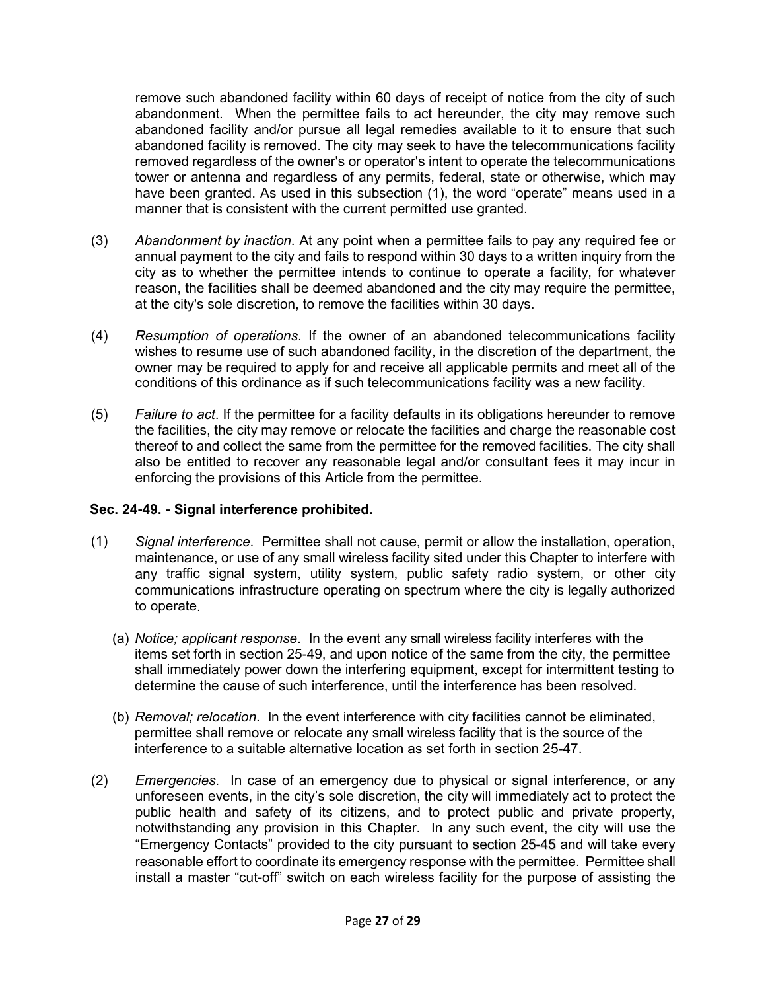remove such abandoned facility within 60 days of receipt of notice from the city of such abandonment. When the permittee fails to act hereunder, the city may remove such abandoned facility and/or pursue all legal remedies available to it to ensure that such abandoned facility is removed. The city may seek to have the telecommunications facility removed regardless of the owner's or operator's intent to operate the telecommunications tower or antenna and regardless of any permits, federal, state or otherwise, which may have been granted. As used in this subsection (1), the word "operate" means used in a manner that is consistent with the current permitted use granted.

- (3) *Abandonment by inaction*. At any point when a permittee fails to pay any required fee or annual payment to the city and fails to respond within 30 days to a written inquiry from the city as to whether the permittee intends to continue to operate a facility, for whatever reason, the facilities shall be deemed abandoned and the city may require the permittee, at the city's sole discretion, to remove the facilities within 30 days.
- (4) *Resumption of operations*. If the owner of an abandoned telecommunications facility wishes to resume use of such abandoned facility, in the discretion of the department, the owner may be required to apply for and receive all applicable permits and meet all of the conditions of this ordinance as if such telecommunications facility was a new facility.
- (5) *Failure to act*. If the permittee for a facility defaults in its obligations hereunder to remove the facilities, the city may remove or relocate the facilities and charge the reasonable cost thereof to and collect the same from the permittee for the removed facilities. The city shall also be entitled to recover any reasonable legal and/or consultant fees it may incur in enforcing the provisions of this Article from the permittee.

# **Sec. 24-49. - Signal interference prohibited.**

- (1) *Signal interference*. Permittee shall not cause, permit or allow the installation, operation, maintenance, or use of any small wireless facility sited under this Chapter to interfere with any traffic signal system, utility system, public safety radio system, or other city communications infrastructure operating on spectrum where the city is legally authorized to operate.
	- (a) *Notice; applicant response*. In the event any small wireless facility interferes with the items set forth in section 25-49, and upon notice of the same from the city, the permittee shall immediately power down the interfering equipment, except for intermittent testing to determine the cause of such interference, until the interference has been resolved.
	- (b) *Removal; relocation*. In the event interference with city facilities cannot be eliminated, permittee shall remove or relocate any small wireless facility that is the source of the interference to a suitable alternative location as set forth in section 25-47.
- (2) *Emergencies*. In case of an emergency due to physical or signal interference, or any unforeseen events, in the city's sole discretion, the city will immediately act to protect the public health and safety of its citizens, and to protect public and private property, notwithstanding any provision in this Chapter. In any such event, the city will use the "Emergency Contacts" provided to the city pursuant to section 25-45 and will take every reasonable effort to coordinate its emergency response with the permittee. Permittee shall install a master "cut-off" switch on each wireless facility for the purpose of assisting the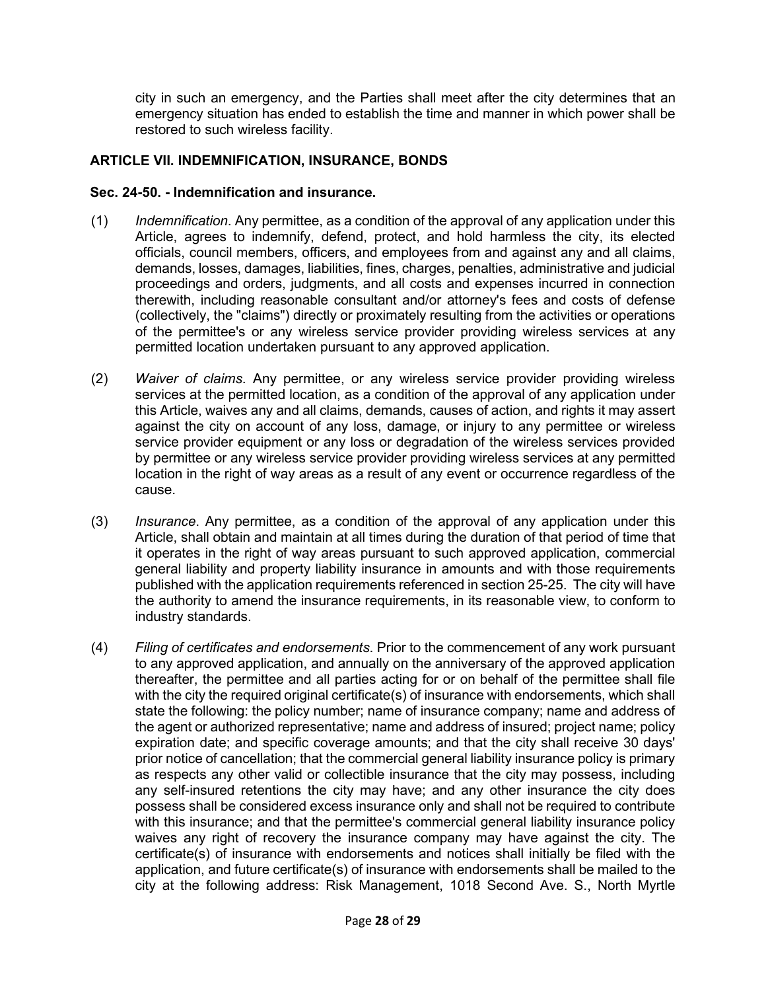city in such an emergency, and the Parties shall meet after the city determines that an emergency situation has ended to establish the time and manner in which power shall be restored to such wireless facility.

## **ARTICLE VII. INDEMNIFICATION, INSURANCE, BONDS**

#### **Sec. 24-50. - Indemnification and insurance.**

- (1) *Indemnification*. Any permittee, as a condition of the approval of any application under this Article, agrees to indemnify, defend, protect, and hold harmless the city, its elected officials, council members, officers, and employees from and against any and all claims, demands, losses, damages, liabilities, fines, charges, penalties, administrative and judicial proceedings and orders, judgments, and all costs and expenses incurred in connection therewith, including reasonable consultant and/or attorney's fees and costs of defense (collectively, the "claims") directly or proximately resulting from the activities or operations of the permittee's or any wireless service provider providing wireless services at any permitted location undertaken pursuant to any approved application.
- (2) *Waiver of claims*. Any permittee, or any wireless service provider providing wireless services at the permitted location, as a condition of the approval of any application under this Article, waives any and all claims, demands, causes of action, and rights it may assert against the city on account of any loss, damage, or injury to any permittee or wireless service provider equipment or any loss or degradation of the wireless services provided by permittee or any wireless service provider providing wireless services at any permitted location in the right of way areas as a result of any event or occurrence regardless of the cause.
- (3) *Insurance*. Any permittee, as a condition of the approval of any application under this Article, shall obtain and maintain at all times during the duration of that period of time that it operates in the right of way areas pursuant to such approved application, commercial general liability and property liability insurance in amounts and with those requirements published with the application requirements referenced in section 25-25. The city will have the authority to amend the insurance requirements, in its reasonable view, to conform to industry standards.
- (4) *Filing of certificates and endorsements*. Prior to the commencement of any work pursuant to any approved application, and annually on the anniversary of the approved application thereafter, the permittee and all parties acting for or on behalf of the permittee shall file with the city the required original certificate(s) of insurance with endorsements, which shall state the following: the policy number; name of insurance company; name and address of the agent or authorized representative; name and address of insured; project name; policy expiration date; and specific coverage amounts; and that the city shall receive 30 days' prior notice of cancellation; that the commercial general liability insurance policy is primary as respects any other valid or collectible insurance that the city may possess, including any self-insured retentions the city may have; and any other insurance the city does possess shall be considered excess insurance only and shall not be required to contribute with this insurance; and that the permittee's commercial general liability insurance policy waives any right of recovery the insurance company may have against the city. The certificate(s) of insurance with endorsements and notices shall initially be filed with the application, and future certificate(s) of insurance with endorsements shall be mailed to the city at the following address: Risk Management, 1018 Second Ave. S., North Myrtle